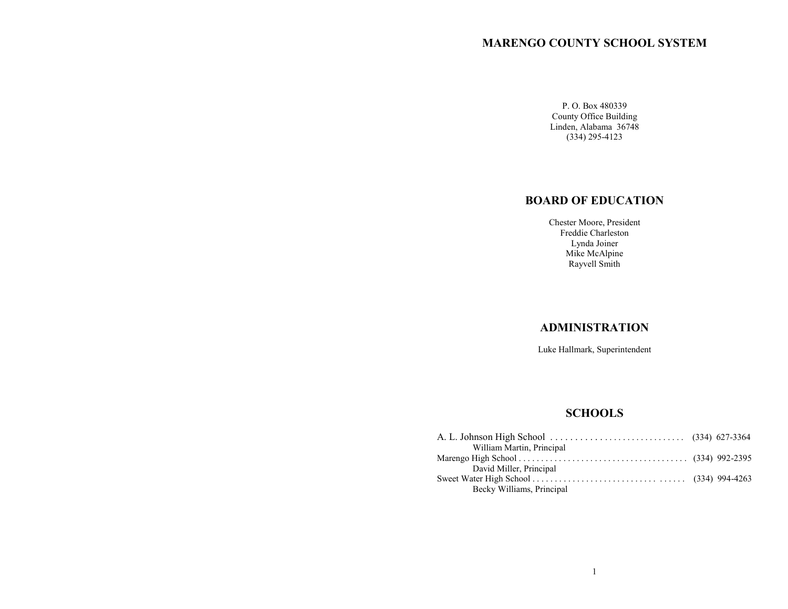# **MARENGO COUNTY SCHOOL SYSTEM**

P. O. Box 480339 County Office Building Linden, Alabama 36748 (334) 295-4123

# **BOARD OF EDUCATION**

Chester Moore, President Freddie Charleston Lynda Joiner Mike McAlpine Rayvell Smith

# **ADMINISTRATION**

Luke Hallmark, Superintendent

# **SCHOOLS**

| William Martin, Principal |  |
|---------------------------|--|
|                           |  |
| David Miller, Principal   |  |
|                           |  |
| Becky Williams, Principal |  |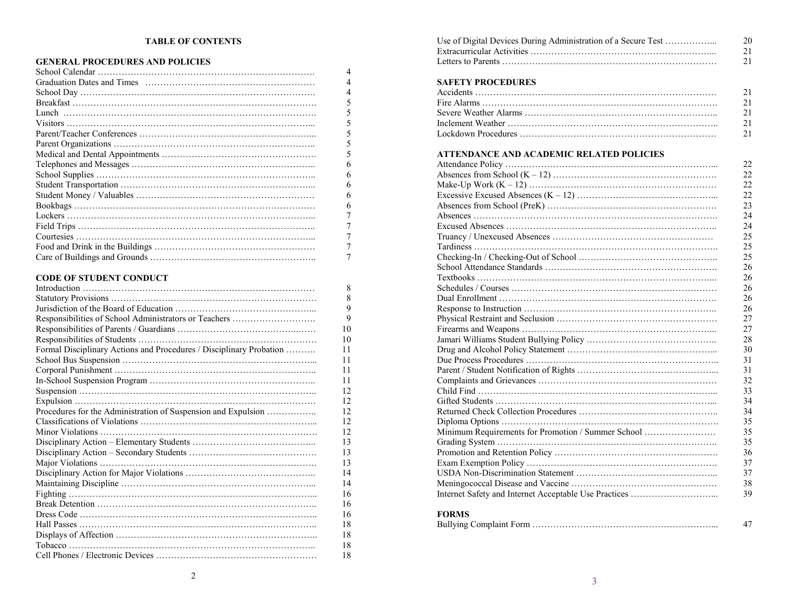# **TABLE OF CONTENTS**

# **GENERAL PROCEDURES AND POLICIES**

|                                | 4       |
|--------------------------------|---------|
|                                |         |
|                                | 4       |
|                                | 5       |
|                                | 5       |
|                                | 5       |
|                                | 5       |
|                                | 5       |
|                                | 5       |
|                                | 6       |
|                                | 6       |
|                                | 6       |
|                                | 6       |
|                                | 6       |
|                                | 7       |
|                                |         |
|                                | 7       |
|                                | 7       |
|                                | 7       |
| <b>CODE OF STUDENT CONDUCT</b> |         |
| Introduction                   | $\circ$ |

|                                                                     | 8  |
|---------------------------------------------------------------------|----|
|                                                                     | 8  |
|                                                                     | 9  |
| Responsibilities of School Administrators or Teachers               | 9  |
|                                                                     | 10 |
|                                                                     | 10 |
| Formal Disciplinary Actions and Procedures / Disciplinary Probation | 11 |
|                                                                     | 11 |
|                                                                     | 11 |
|                                                                     | 11 |
|                                                                     | 12 |
|                                                                     | 12 |
| Procedures for the Administration of Suspension and Expulsion       | 12 |
|                                                                     | 12 |
|                                                                     | 12 |
|                                                                     | 13 |
|                                                                     | 13 |
|                                                                     | 13 |
|                                                                     | 14 |
|                                                                     | 14 |
|                                                                     | 16 |
|                                                                     | 16 |
|                                                                     | 16 |
|                                                                     | 18 |
|                                                                     | 18 |
|                                                                     | 18 |
|                                                                     | 18 |

| Use of Digital Devices During Administration of a Secure Test | 20 |
|---------------------------------------------------------------|----|
|                                                               |    |
|                                                               |    |

| <b>SAFETY PROCEDURES</b> |     |
|--------------------------|-----|
|                          | 21  |
|                          | 21  |
|                          | 2.1 |
|                          | 2.1 |
|                          | 2.1 |

# **ATTENDANCE AND ACADEMIC RELATED POLICIES**

|                                                    | 22 |
|----------------------------------------------------|----|
|                                                    | 22 |
|                                                    | 22 |
|                                                    | 22 |
|                                                    | 23 |
|                                                    | 24 |
|                                                    | 24 |
|                                                    | 25 |
|                                                    | 25 |
|                                                    | 25 |
|                                                    | 26 |
|                                                    | 26 |
|                                                    | 26 |
|                                                    | 26 |
|                                                    | 26 |
|                                                    | 27 |
|                                                    | 27 |
|                                                    | 28 |
|                                                    | 30 |
|                                                    | 31 |
|                                                    | 31 |
|                                                    | 32 |
|                                                    | 33 |
|                                                    | 34 |
|                                                    | 34 |
|                                                    | 35 |
| Minimum Requirements for Promotion / Summer School | 35 |
|                                                    | 35 |
|                                                    | 36 |
|                                                    | 37 |
|                                                    | 37 |
|                                                    | 38 |
|                                                    | 39 |
|                                                    |    |

# **FORMS**

|--|--|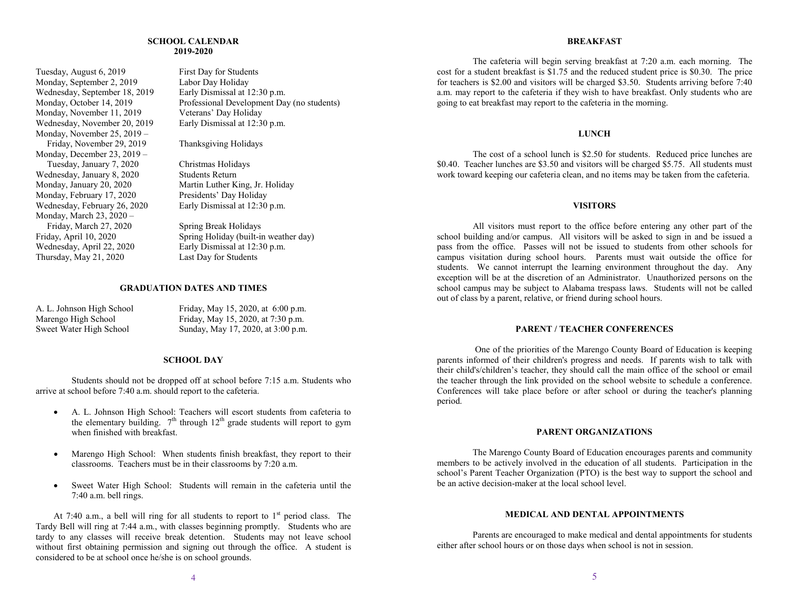#### **SCHOOL CALENDAR 2019-2020**

Tuesday, August 6, 2019 First Day for Students<br>
Monday. September 2. 2019 Labor Day Holiday Monday, September 2, 2019 Wednesday, September 18, 2019 Early Dismissal at 12:30 p.m.<br>Monday, October 14, 2019 Professional Development Day Monday, November 11, 2019 Veterans' Day Holiday<br>Wednesday, November 20, 2019 Early Dismissal at 12:30 p.m. Wednesday, November 20, 2019 Monday, November 25, 2019 – Friday, November 29, 2019 Thanksgiving Holidays Monday, December 23, 2019 – Tuesday, January 7, 2020 Christmas Holidays<br>
ednesday. January 8, 2020 Students Return Wednesday, January 8, 2020<br>Monday, January 20, 2020 Monday, February 17, 2020 Presidents' Day Holiday Wednesday, February 26, 2020 Early Dismissal at 12:30 p.m. Monday, March 23, 2020 – Friday, March 27, 2020 Spring Break Holidays<br>Friday, April 10, 2020 Spring Holiday (built-in Wednesday, April 22, 2020 Early Dismissal at 12:30 p.m. Thursday, May 21, 2020 Last Day for Students

Professional Development Day (no students)

Martin Luther King, Jr. Holiday

Spring Holiday (built-in weather day)

# **GRADUATION DATES AND TIMES**

| A. L. Johnson High School | Friday, May 15, 2020, at 6:00 p.m. |
|---------------------------|------------------------------------|
| Marengo High School       | Friday, May 15, 2020, at 7:30 p.m. |
| Sweet Water High School   | Sunday, May 17, 2020, at 3:00 p.m. |

#### **SCHOOL DAY**

Students should not be dropped off at school before 7:15 a.m. Students who arrive at school before 7:40 a.m. should report to the cafeteria.

- A. L. Johnson High School: Teachers will escort students from cafeteria to the elementary building.  $7<sup>th</sup>$  through 12<sup>th</sup> grade students will report to gym when finished with breakfast.
- Marengo High School: When students finish breakfast, they report to their classrooms. Teachers must be in their classrooms by 7:20 a.m.
- Sweet Water High School: Students will remain in the cafeteria until the 7:40 a.m. bell rings.

At 7:40 a.m., a bell will ring for all students to report to  $1<sup>st</sup>$  period class. The Tardy Bell will ring at 7:44 a.m., with classes beginning promptly. Students who are tardy to any classes will receive break detention. Students may not leave school without first obtaining permission and signing out through the office. A student is considered to be at school once he/she is on school grounds.

#### **BREAKFAST**

The cafeteria will begin serving breakfast at 7:20 a.m. each morning. The cost for a student breakfast is \$1.75 and the reduced student price is \$0.30. The price for teachers is \$2.00 and visitors will be charged \$3.50. Students arriving before 7:40 a.m. may report to the cafeteria if they wish to have breakfast. Only students who are going to eat breakfast may report to the cafeteria in the morning.

# **LUNCH**

The cost of a school lunch is \$2.50 for students. Reduced price lunches are \$0.40. Teacher lunches are \$3.50 and visitors will be charged \$5.75. All students must work toward keeping our cafeteria clean, and no items may be taken from the cafeteria.

#### **VISITORS**

All visitors must report to the office before entering any other part of the school building and/or campus. All visitors will be asked to sign in and be issued a pass from the office. Passes will not be issued to students from other schools for campus visitation during school hours. Parents must wait outside the office for students. We cannot interrupt the learning environment throughout the day. Any exception will be at the discretion of an Administrator. Unauthorized persons on the school campus may be subject to Alabama trespass laws. Students will not be called out of class by a parent, relative, or friend during school hours.

# **PARENT / TEACHER CONFERENCES**

One of the priorities of the Marengo County Board of Education is keeping parents informed of their children's progress and needs. If parents wish to talk with their child's/children's teacher, they should call the main office of the school or email the teacher through the link provided on the school website to schedule a conference. Conferences will take place before or after school or during the teacher's planning period.

#### **PARENT ORGANIZATIONS**

The Marengo County Board of Education encourages parents and community members to be actively involved in the education of all students. Participation in the school's Parent Teacher Organization (PTO) is the best way to support the school and be an active decision-maker at the local school level.

# **MEDICAL AND DENTAL APPOINTMENTS**

Parents are encouraged to make medical and dental appointments for students either after school hours or on those days when school is not in session.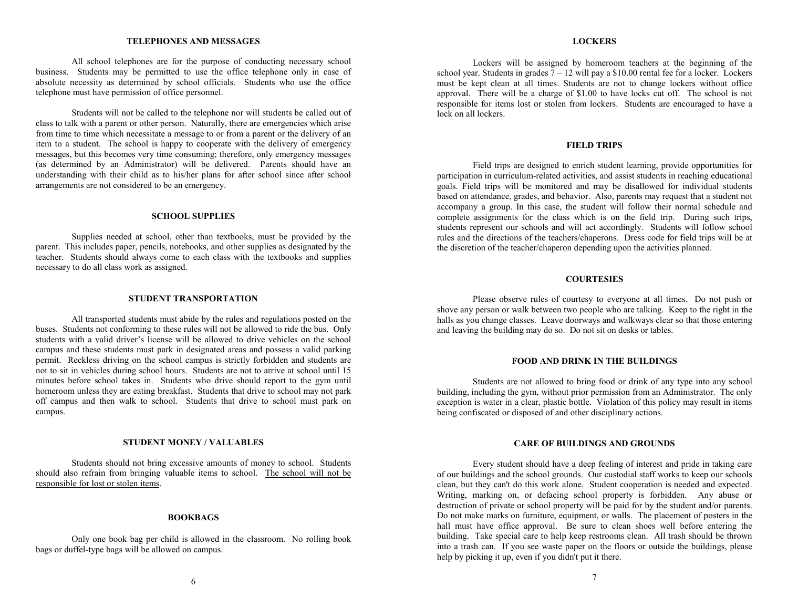#### **TELEPHONES AND MESSAGES**

All school telephones are for the purpose of conducting necessary school business. Students may be permitted to use the office telephone only in case of absolute necessity as determined by school officials. Students who use the office telephone must have permission of office personnel.

Students will not be called to the telephone nor will students be called out of class to talk with a parent or other person. Naturally, there are emergencies which arise from time to time which necessitate a message to or from a parent or the delivery of an item to a student. The school is happy to cooperate with the delivery of emergency messages, but this becomes very time consuming; therefore, only emergency messages (as determined by an Administrator) will be delivered. Parents should have an understanding with their child as to his/her plans for after school since after school arrangements are not considered to be an emergency.

#### **SCHOOL SUPPLIES**

Supplies needed at school, other than textbooks, must be provided by the parent. This includes paper, pencils, notebooks, and other supplies as designated by the teacher. Students should always come to each class with the textbooks and supplies necessary to do all class work as assigned.

#### **STUDENT TRANSPORTATION**

All transported students must abide by the rules and regulations posted on the buses. Students not conforming to these rules will not be allowed to ride the bus. Only students with a valid driver's license will be allowed to drive vehicles on the school campus and these students must park in designated areas and possess a valid parking permit. Reckless driving on the school campus is strictly forbidden and students are not to sit in vehicles during school hours. Students are not to arrive at school until 15 minutes before school takes in. Students who drive should report to the gym until homeroom unless they are eating breakfast. Students that drive to school may not park off campus and then walk to school. Students that drive to school must park on campus.

#### **STUDENT MONEY / VALUABLES**

Students should not bring excessive amounts of money to school. Students should also refrain from bringing valuable items to school. The school will not be responsible for lost or stolen items.

#### **BOOKBAGS**

Only one book bag per child is allowed in the classroom. No rolling book bags or duffel-type bags will be allowed on campus.

#### **LOCKERS**

Lockers will be assigned by homeroom teachers at the beginning of the school year. Students in grades  $\frac{7 - 12}{12}$  will pay a \$10.00 rental fee for a locker. Lockers must be kept clean at all times. Students are not to change lockers without office approval. There will be a charge of \$1.00 to have locks cut off. The school is not responsible for items lost or stolen from lockers. Students are encouraged to have a lock on all lockers.

#### **FIELD TRIPS**

Field trips are designed to enrich student learning, provide opportunities for participation in curriculum-related activities, and assist students in reaching educational goals. Field trips will be monitored and may be disallowed for individual students based on attendance, grades, and behavior. Also, parents may request that a student not accompany a group. In this case, the student will follow their normal schedule and complete assignments for the class which is on the field trip. During such trips, students represent our schools and will act accordingly. Students will follow school rules and the directions of the teachers/chaperons. Dress code for field trips will be at the discretion of the teacher/chaperon depending upon the activities planned.

# **COURTESIES**

Please observe rules of courtesy to everyone at all times. Do not push or shove any person or walk between two people who are talking. Keep to the right in the halls as you change classes. Leave doorways and walkways clear so that those entering and leaving the building may do so. Do not sit on desks or tables.

#### **FOOD AND DRINK IN THE BUILDINGS**

Students are not allowed to bring food or drink of any type into any school building, including the gym, without prior permission from an Administrator. The only exception is water in a clear, plastic bottle. Violation of this policy may result in items being confiscated or disposed of and other disciplinary actions.

#### **CARE OF BUILDINGS AND GROUNDS**

Every student should have a deep feeling of interest and pride in taking care of our buildings and the school grounds. Our custodial staff works to keep our schools clean, but they can't do this work alone. Student cooperation is needed and expected. Writing, marking on, or defacing school property is forbidden. Any abuse or destruction of private or school property will be paid for by the student and/or parents. Do not make marks on furniture, equipment, or walls. The placement of posters in the hall must have office approval. Be sure to clean shoes well before entering the building. Take special care to help keep restrooms clean. All trash should be thrown into a trash can. If you see waste paper on the floors or outside the buildings, please help by picking it up, even if you didn't put it there.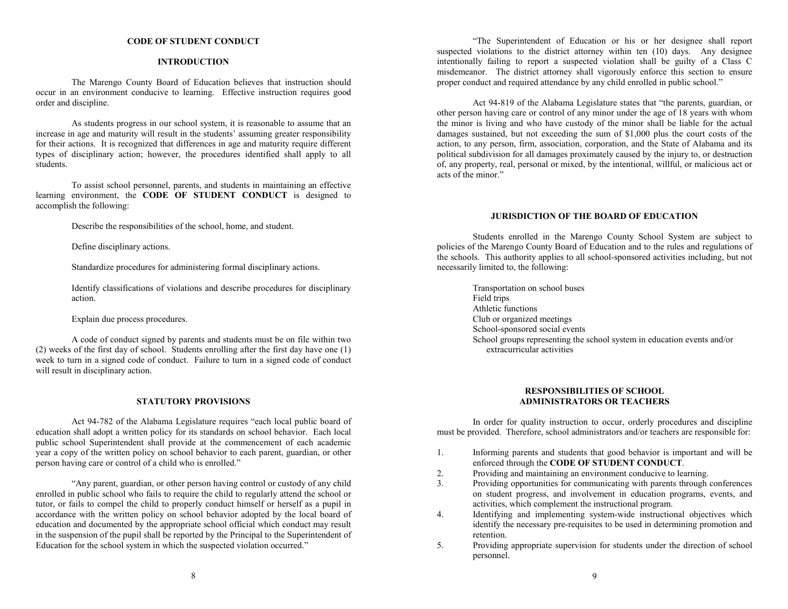#### **CODE OF STUDENT CONDUCT**

#### **INTRODUCTION**

The Marengo County Board of Education believes that instruction should occur in an environment conducive to learning. Effective instruction requires good order and discipline.

As students progress in our school system, it is reasonable to assume that an increase in age and maturity will result in the students' assuming greater responsibility for their actions. It is recognized that differences in age and maturity require different types of disciplinary action; however, the procedures identified shall apply to all students.

To assist school personnel, parents, and students in maintaining an effective learning environment, the **CODE OF STUDENT CONDUCT** is designed to accomplish the following:

Describe the responsibilities of the school, home, and student.

Define disciplinary actions.

Standardize procedures for administering formal disciplinary actions.

Identify classifications of violations and describe procedures for disciplinary action.

Explain due process procedures.

A code of conduct signed by parents and students must be on file within two (2) weeks of the first day of school. Students enrolling after the first day have one (1) week to turn in a signed code of conduct. Failure to turn in a signed code of conduct will result in disciplinary action.

#### **STATUTORY PROVISIONS**

Act 94-782 of the Alabama Legislature requires "each local public board of education shall adopt a written policy for its standards on school behavior. Each local public school Superintendent shall provide at the commencement of each academic year a copy of the written policy on school behavior to each parent, guardian, or other person having care or control of a child who is enrolled."

"Any parent, guardian, or other person having control or custody of any child enrolled in public school who fails to require the child to regularly attend the school or tutor, or fails to compel the child to properly conduct himself or herself as a pupil in accordance with the written policy on school behavior adopted by the local board of education and documented by the appropriate school official which conduct may result in the suspension of the pupil shall be reported by the Principal to the Superintendent of Education for the school system in which the suspected violation occurred."

"The Superintendent of Education or his or her designee shall report suspected violations to the district attorney within ten (10) days. Any designee intentionally failing to report a suspected violation shall be guilty of a Class C misdemeanor. The district attorney shall vigorously enforce this section to ensure proper conduct and required attendance by any child enrolled in public school."

Act 94-819 of the Alabama Legislature states that "the parents, guardian, or other person having care or control of any minor under the age of 18 years with whom the minor is living and who have custody of the minor shall be liable for the actual damages sustained, but not exceeding the sum of \$1,000 plus the court costs of the action, to any person, firm, association, corporation, and the State of Alabama and its political subdivision for all damages proximately caused by the injury to, or destruction of, any property, real, personal or mixed, by the intentional, willful, or malicious act or acts of the minor."

## **JURISDICTION OF THE BOARD OF EDUCATION**

Students enrolled in the Marengo County School System are subject to policies of the Marengo County Board of Education and to the rules and regulations of the schools. This authority applies to all school-sponsored activities including, but not necessarily limited to, the following:

> Transportation on school buses Field trips Athletic functions Club or organized meetings School-sponsored social events School groups representing the school system in education events and/or extracurricular activities

# **RESPONSIBILITIES OF SCHOOL ADMINISTRATORS OR TEACHERS**

In order for quality instruction to occur, orderly procedures and discipline must be provided. Therefore, school administrators and/or teachers are responsible for:

- 1. Informing parents and students that good behavior is important and will be enforced through the **CODE OF STUDENT CONDUCT**.
- 2. Providing and maintaining an environment conducive to learning.
- 3. Providing opportunities for communicating with parents through conferences on student progress, and involvement in education programs, events, and activities, which complement the instructional program.
- 4. Identifying and implementing system-wide instructional objectives which identify the necessary pre-requisites to be used in determining promotion and retention.
- 5. Providing appropriate supervision for students under the direction of school personnel.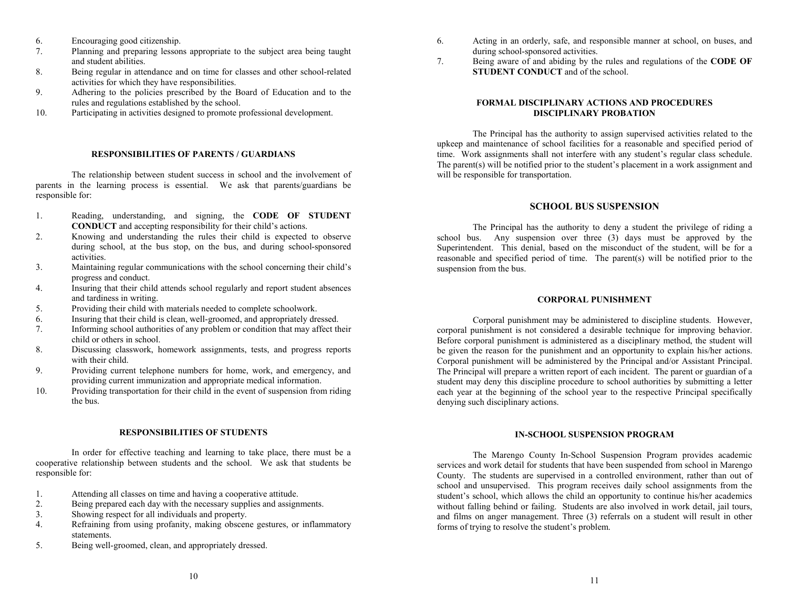- 6. Encouraging good citizenship.
- 7. Planning and preparing lessons appropriate to the subject area being taught and student abilities.
- 8. Being regular in attendance and on time for classes and other school-related activities for which they have responsibilities.
- 9. Adhering to the policies prescribed by the Board of Education and to the rules and regulations established by the school.
- 10. Participating in activities designed to promote professional development.

# **RESPONSIBILITIES OF PARENTS / GUARDIANS**

The relationship between student success in school and the involvement of parents in the learning process is essential. We ask that parents/guardians be responsible for:

- 1. Reading, understanding, and signing, the **CODE OF STUDENT CONDUCT** and accepting responsibility for their child's actions.
- 2. Knowing and understanding the rules their child is expected to observe during school, at the bus stop, on the bus, and during school-sponsored activities.
- 3. Maintaining regular communications with the school concerning their child's progress and conduct.
- 4. Insuring that their child attends school regularly and report student absences and tardiness in writing.
- 5. Providing their child with materials needed to complete schoolwork.
- 6. Insuring that their child is clean, well-groomed, and appropriately dressed.
- 7. Informing school authorities of any problem or condition that may affect their child or others in school.
- 8. Discussing classwork, homework assignments, tests, and progress reports with their child.
- 9. Providing current telephone numbers for home, work, and emergency, and providing current immunization and appropriate medical information.
- 10. Providing transportation for their child in the event of suspension from riding the bus.

# **RESPONSIBILITIES OF STUDENTS**

In order for effective teaching and learning to take place, there must be a cooperative relationship between students and the school. We ask that students be responsible for:

- 1. Attending all classes on time and having a cooperative attitude.
- 2. Being prepared each day with the necessary supplies and assignments.
- 3. Showing respect for all individuals and property.
- 4. Refraining from using profanity, making obscene gestures, or inflammatory statements.
- 5. Being well-groomed, clean, and appropriately dressed.
- 6. Acting in an orderly, safe, and responsible manner at school, on buses, and during school-sponsored activities.
- 7. Being aware of and abiding by the rules and regulations of the **CODE OF STUDENT CONDUCT** and of the school.

# **FORMAL DISCIPLINARY ACTIONS AND PROCEDURES DISCIPLINARY PROBATION**

The Principal has the authority to assign supervised activities related to the upkeep and maintenance of school facilities for a reasonable and specified period of time. Work assignments shall not interfere with any student's regular class schedule. The parent(s) will be notified prior to the student's placement in a work assignment and will be responsible for transportation.

# **SCHOOL BUS SUSPENSION**

The Principal has the authority to deny a student the privilege of riding a school bus. Any suspension over three (3) days must be approved by the Superintendent. This denial, based on the misconduct of the student, will be for a reasonable and specified period of time. The parent(s) will be notified prior to the suspension from the bus.

# **CORPORAL PUNISHMENT**

Corporal punishment may be administered to discipline students. However, corporal punishment is not considered a desirable technique for improving behavior. Before corporal punishment is administered as a disciplinary method, the student will be given the reason for the punishment and an opportunity to explain his/her actions. Corporal punishment will be administered by the Principal and/or Assistant Principal. The Principal will prepare a written report of each incident. The parent or guardian of a student may deny this discipline procedure to school authorities by submitting a letter each year at the beginning of the school year to the respective Principal specifically denying such disciplinary actions.

# **IN-SCHOOL SUSPENSION PROGRAM**

The Marengo County In-School Suspension Program provides academic services and work detail for students that have been suspended from school in Marengo County. The students are supervised in a controlled environment, rather than out of school and unsupervised. This program receives daily school assignments from the student's school, which allows the child an opportunity to continue his/her academics without falling behind or failing. Students are also involved in work detail, jail tours, and films on anger management. Three (3) referrals on a student will result in other forms of trying to resolve the student's problem.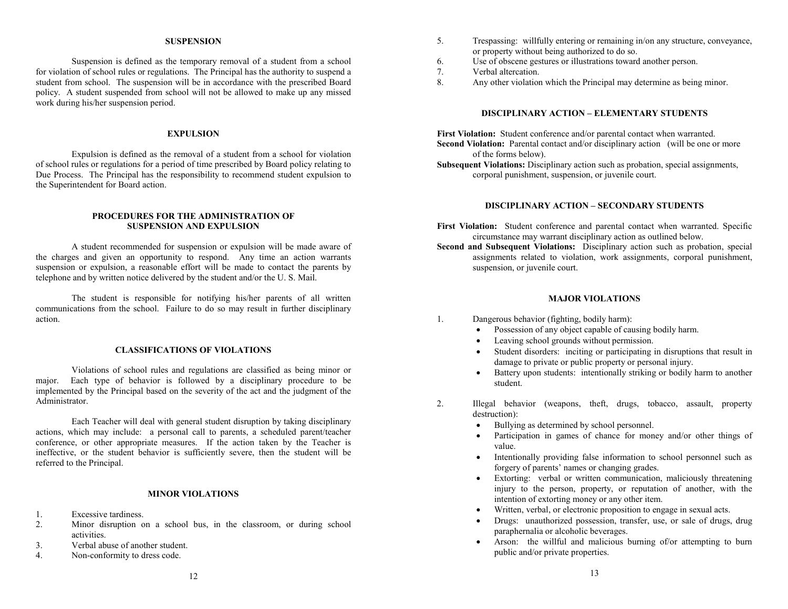#### **SUSPENSION**

Suspension is defined as the temporary removal of a student from a school for violation of school rules or regulations. The Principal has the authority to suspend a student from school. The suspension will be in accordance with the prescribed Board policy. A student suspended from school will not be allowed to make up any missed work during his/her suspension period.

# **EXPULSION**

Expulsion is defined as the removal of a student from a school for violation of school rules or regulations for a period of time prescribed by Board policy relating to Due Process. The Principal has the responsibility to recommend student expulsion to the Superintendent for Board action.

#### **PROCEDURES FOR THE ADMINISTRATION OF SUSPENSION AND EXPULSION**

A student recommended for suspension or expulsion will be made aware of the charges and given an opportunity to respond. Any time an action warrants suspension or expulsion, a reasonable effort will be made to contact the parents by telephone and by written notice delivered by the student and/or the U. S. Mail.

The student is responsible for notifying his/her parents of all written communications from the school. Failure to do so may result in further disciplinary action.

#### **CLASSIFICATIONS OF VIOLATIONS**

Violations of school rules and regulations are classified as being minor or major. Each type of behavior is followed by a disciplinary procedure to be implemented by the Principal based on the severity of the act and the judgment of the Administrator.

Each Teacher will deal with general student disruption by taking disciplinary actions, which may include: a personal call to parents, a scheduled parent/teacher conference, or other appropriate measures. If the action taken by the Teacher is ineffective, or the student behavior is sufficiently severe, then the student will be referred to the Principal.

#### **MINOR VIOLATIONS**

- 1. Excessive tardiness.
- 2. Minor disruption on a school bus, in the classroom, or during school activities.
- 3. Verbal abuse of another student.
- 4. Non-conformity to dress code.
- 5. Trespassing: willfully entering or remaining in/on any structure, conveyance, or property without being authorized to do so.
- 6. Use of obscene gestures or illustrations toward another person.
- 7. Verbal altercation.<br>8 Any other violation
- Any other violation which the Principal may determine as being minor.

# **DISCIPLINARY ACTION – ELEMENTARY STUDENTS**

**First Violation:** Student conference and/or parental contact when warranted. **Second Violation:** Parental contact and/or disciplinary action (will be one or more of the forms below).

**Subsequent Violations:** Disciplinary action such as probation, special assignments, corporal punishment, suspension, or juvenile court.

# **DISCIPLINARY ACTION – SECONDARY STUDENTS**

First Violation: Student conference and parental contact when warranted. Specific circumstance may warrant disciplinary action as outlined below.

**Second and Subsequent Violations:** Disciplinary action such as probation, special assignments related to violation, work assignments, corporal punishment, suspension, or juvenile court.

#### **MAJOR VIOLATIONS**

- 1. Dangerous behavior (fighting, bodily harm):
	- Possession of any object capable of causing bodily harm.
	- Leaving school grounds without permission.
	- Student disorders: inciting or participating in disruptions that result in damage to private or public property or personal injury.
	- Battery upon students: intentionally striking or bodily harm to another student.
- 2. Illegal behavior (weapons, theft, drugs, tobacco, assault, property destruction):
	- Bullying as determined by school personnel.
	- Participation in games of chance for money and/or other things of value.
	- Intentionally providing false information to school personnel such as forgery of parents' names or changing grades.
	- Extorting: verbal or written communication, maliciously threatening injury to the person, property, or reputation of another, with the intention of extorting money or any other item.
	- Written, verbal, or electronic proposition to engage in sexual acts.
	- Drugs: unauthorized possession, transfer, use, or sale of drugs, drug paraphernalia or alcoholic beverages.
	- Arson: the willful and malicious burning of/or attempting to burn public and/or private properties.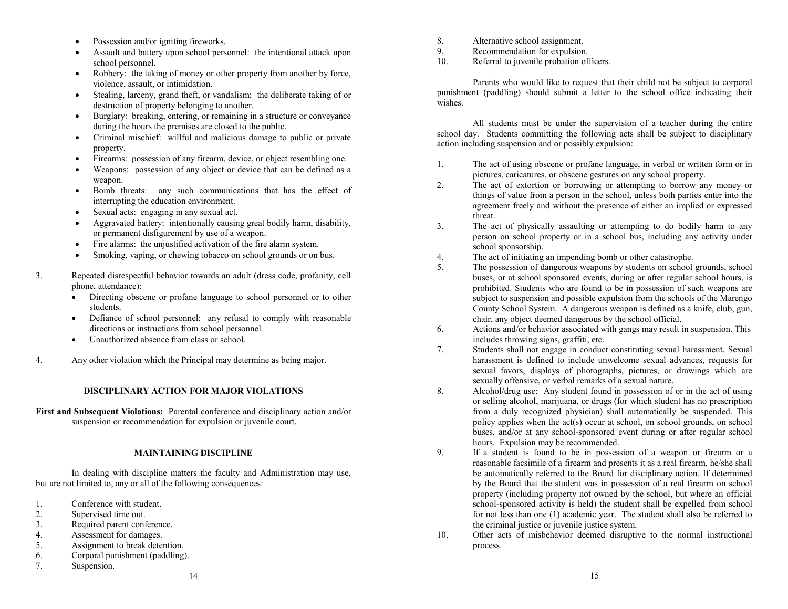- Possession and/or igniting fireworks.
- Assault and battery upon school personnel: the intentional attack upon school personnel.
- Robbery: the taking of money or other property from another by force, violence, assault, or intimidation.
- Stealing, larceny, grand theft, or vandalism: the deliberate taking of or destruction of property belonging to another.
- Burglary: breaking, entering, or remaining in a structure or conveyance during the hours the premises are closed to the public.
- Criminal mischief: willful and malicious damage to public or private property.
- Firearms: possession of any firearm, device, or object resembling one.
- Weapons: possession of any object or device that can be defined as a weapon.
- Bomb threats: any such communications that has the effect of interrupting the education environment.
- Sexual acts: engaging in any sexual act.
- Aggravated battery: intentionally causing great bodily harm, disability, or permanent disfigurement by use of a weapon.
- Fire alarms: the unjustified activation of the fire alarm system.
- Smoking, vaping, or chewing tobacco on school grounds or on bus.
- 3. Repeated disrespectful behavior towards an adult (dress code, profanity, cell phone, attendance):
	- Directing obscene or profane language to school personnel or to other students.
	- Defiance of school personnel: any refusal to comply with reasonable directions or instructions from school personnel.
	- Unauthorized absence from class or school.
- 4. Any other violation which the Principal may determine as being major.

# **DISCIPLINARY ACTION FOR MAJOR VIOLATIONS**

**First and Subsequent Violations:** Parental conference and disciplinary action and/or suspension or recommendation for expulsion or juvenile court.

# **MAINTAINING DISCIPLINE**

In dealing with discipline matters the faculty and Administration may use, but are not limited to, any or all of the following consequences:

- 1. Conference with student.
- 2. Supervised time out.<br>3. Required parent conf
- 3. Required parent conference.<br>4. Assessment for damages.
- 4. Assessment for damages.<br>5. Assignment to break dete
- Assignment to break detention.
- 6. Corporal punishment (paddling).
- 7. Suspension.
- 8. Alternative school assignment.
- 9. Recommendation for expulsion.<br>10 Referral to invenile probation of
- Referral to juvenile probation officers.

Parents who would like to request that their child not be subject to corporal punishment (paddling) should submit a letter to the school office indicating their wishes.

All students must be under the supervision of a teacher during the entire school day. Students committing the following acts shall be subject to disciplinary action including suspension and or possibly expulsion:

- 1. The act of using obscene or profane language, in verbal or written form or in pictures, caricatures, or obscene gestures on any school property.
- 2. The act of extortion or borrowing or attempting to borrow any money or things of value from a person in the school, unless both parties enter into the agreement freely and without the presence of either an implied or expressed threat.
- 3. The act of physically assaulting or attempting to do bodily harm to any person on school property or in a school bus, including any activity under school sponsorship.
- 4. The act of initiating an impending bomb or other catastrophe.
- 5. The possession of dangerous weapons by students on school grounds, school buses, or at school sponsored events, during or after regular school hours, is prohibited. Students who are found to be in possession of such weapons are subject to suspension and possible expulsion from the schools of the Marengo County School System. A dangerous weapon is defined as a knife, club, gun, chair, any object deemed dangerous by the school official.
- 6. Actions and/or behavior associated with gangs may result in suspension. This includes throwing signs, graffiti, etc.
- 7. Students shall not engage in conduct constituting sexual harassment. Sexual harassment is defined to include unwelcome sexual advances, requests for sexual favors, displays of photographs, pictures, or drawings which are sexually offensive, or verbal remarks of a sexual nature.
- 8. Alcohol/drug use: Any student found in possession of or in the act of using or selling alcohol, marijuana, or drugs (for which student has no prescription from a duly recognized physician) shall automatically be suspended. This policy applies when the act(s) occur at school, on school grounds, on school buses, and/or at any school-sponsored event during or after regular school hours. Expulsion may be recommended.
- 9. If a student is found to be in possession of a weapon or firearm or a reasonable facsimile of a firearm and presents it as a real firearm, he/she shall be automatically referred to the Board for disciplinary action. If determined by the Board that the student was in possession of a real firearm on school property (including property not owned by the school, but where an official school-sponsored activity is held) the student shall be expelled from school for not less than one (1) academic year. The student shall also be referred to the criminal justice or juvenile justice system.
- 10. Other acts of misbehavior deemed disruptive to the normal instructional process.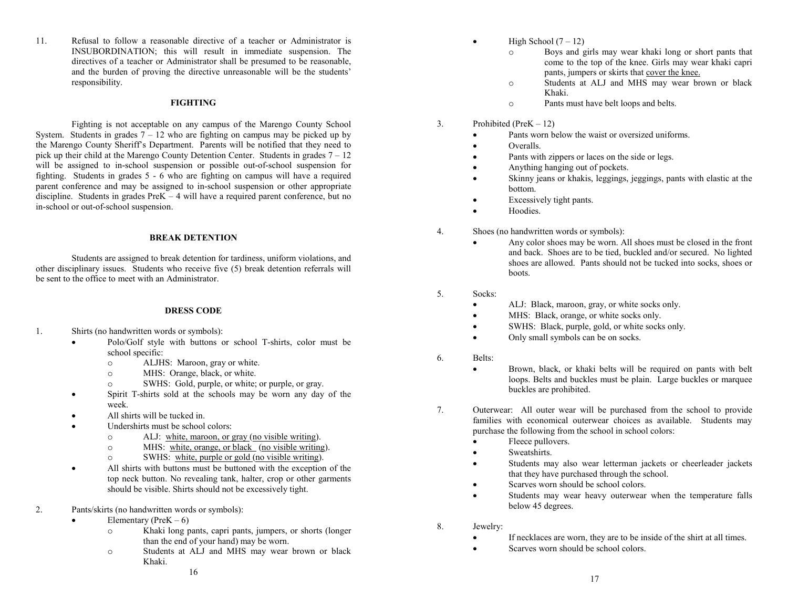11. Refusal to follow a reasonable directive of a teacher or Administrator is INSUBORDINATION; this will result in immediate suspension. The directives of a teacher or Administrator shall be presumed to be reasonable, and the burden of proving the directive unreasonable will be the students' responsibility.

# **FIGHTING**

Fighting is not acceptable on any campus of the Marengo County School System. Students in grades  $7 - 12$  who are fighting on campus may be picked up by the Marengo County Sheriff's Department. Parents will be notified that they need to pick up their child at the Marengo County Detention Center. Students in grades  $7 - 12$ will be assigned to in-school suspension or possible out-of-school suspension for fighting. Students in grades 5 - 6 who are fighting on campus will have a required parent conference and may be assigned to in-school suspension or other appropriate discipline. Students in grades PreK – 4 will have a required parent conference, but no in-school or out-of-school suspension.

#### **BREAK DETENTION**

Students are assigned to break detention for tardiness, uniform violations, and other disciplinary issues. Students who receive five (5) break detention referrals will be sent to the office to meet with an Administrator.

#### **DRESS CODE**

- 1. Shirts (no handwritten words or symbols):
	- Polo/Golf style with buttons or school T-shirts, color must be school specific:
		- o ALJHS: Maroon, gray or white.
		- o MHS: Orange, black, or white.<br>SWHS: Gold. purple. or white:
		- SWHS: Gold, purple, or white; or purple, or gray.
	- Spirit T-shirts sold at the schools may be worn any day of the week.
	- All shirts will be tucked in.
	- Undershirts must be school colors:
		- o ALJ: white, maroon, or gray (no visible writing).<br>
		MHS: white, orange, or black (no visible writing).
		- o MHS: white, orange, or black (no visible writing).<br>SWHS: white, purple or gold (no visible writing).
		- SWHS: white, purple or gold (no visible writing).
	- All shirts with buttons must be buttoned with the exception of the top neck button. No revealing tank, halter, crop or other garments should be visible. Shirts should not be excessively tight.
- 2. Pants/skirts (no handwritten words or symbols):
	- Elementary (Pre $K 6$ )
		- o Khaki long pants, capri pants, jumpers, or shorts (longer than the end of your hand) may be worn.
		- o Students at ALJ and MHS may wear brown or black Khaki.
- High School  $(7 12)$ 
	- o Boys and girls may wear khaki long or short pants that come to the top of the knee. Girls may wear khaki capri pants, jumpers or skirts that cover the knee.
	- o Students at ALJ and MHS may wear brown or black Khaki.
	- o Pants must have belt loops and belts.
- 3. Prohibited (PreK 12)
	- Pants worn below the waist or oversized uniforms
	- Overalls.
	- Pants with zippers or laces on the side or legs.
	- Anything hanging out of pockets.
	- Skinny jeans or khakis, leggings, jeggings, pants with elastic at the bottom.
	- Excessively tight pants.
	- Hoodies.
- 4. Shoes (no handwritten words or symbols):
	- Any color shoes may be worn. All shoes must be closed in the front and back. Shoes are to be tied, buckled and/or secured. No lighted shoes are allowed. Pants should not be tucked into socks, shoes or boots.
- 5. Socks:
	- ALJ: Black, maroon, gray, or white socks only.
	- MHS: Black, orange, or white socks only.
	- SWHS: Black, purple, gold, or white socks only.
	- Only small symbols can be on socks.
- 6. Belts:
	- Brown, black, or khaki belts will be required on pants with belt loops. Belts and buckles must be plain. Large buckles or marquee buckles are prohibited.
- 7. Outerwear: All outer wear will be purchased from the school to provide families with economical outerwear choices as available. Students may purchase the following from the school in school colors:
	- Fleece pullovers.
	- Sweatshirts.
	- Students may also wear letterman jackets or cheerleader jackets that they have purchased through the school.
	- Scarves worn should be school colors.
	- Students may wear heavy outerwear when the temperature falls below 45 degrees.
- 8. Jewelry:
	- If necklaces are worn, they are to be inside of the shirt at all times.
	- Scarves worn should be school colors.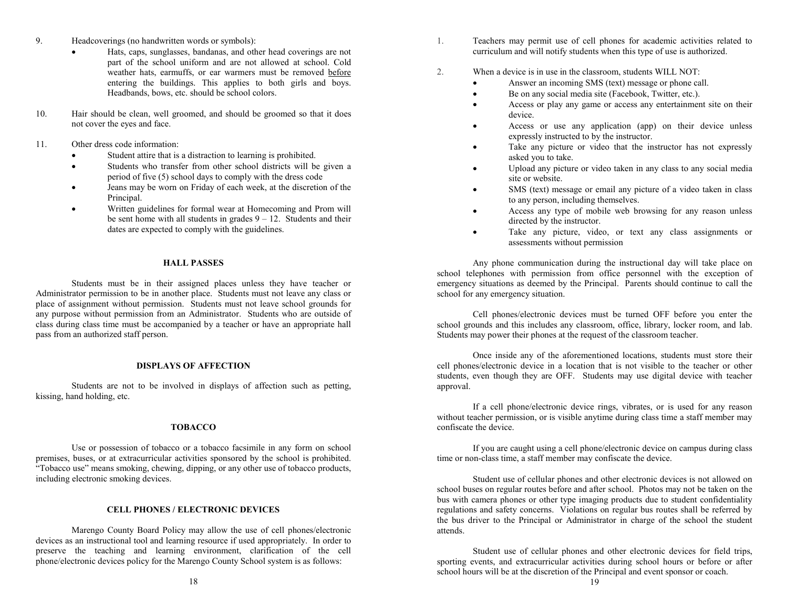- 9. Headcoverings (no handwritten words or symbols):
	- Hats, caps, sunglasses, bandanas, and other head coverings are not part of the school uniform and are not allowed at school. Cold weather hats, earmuffs, or ear warmers must be removed before entering the buildings. This applies to both girls and boys. Headbands, bows, etc. should be school colors.
- 10. Hair should be clean, well groomed, and should be groomed so that it does not cover the eyes and face.
- 11. Other dress code information:
	- Student attire that is a distraction to learning is prohibited.
	- Students who transfer from other school districts will be given a period of five (5) school days to comply with the dress code
	- Jeans may be worn on Friday of each week, at the discretion of the Principal.
	- Written guidelines for formal wear at Homecoming and Prom will be sent home with all students in grades  $9 - 12$ . Students and their dates are expected to comply with the guidelines.

#### **HALL PASSES**

Students must be in their assigned places unless they have teacher or Administrator permission to be in another place. Students must not leave any class or place of assignment without permission. Students must not leave school grounds for any purpose without permission from an Administrator. Students who are outside of class during class time must be accompanied by a teacher or have an appropriate hall pass from an authorized staff person.

#### **DISPLAYS OF AFFECTION**

Students are not to be involved in displays of affection such as petting, kissing, hand holding, etc.

#### **TOBACCO**

Use or possession of tobacco or a tobacco facsimile in any form on school premises, buses, or at extracurricular activities sponsored by the school is prohibited. "Tobacco use" means smoking, chewing, dipping, or any other use of tobacco products, including electronic smoking devices.

# **CELL PHONES / ELECTRONIC DEVICES**

Marengo County Board Policy may allow the use of cell phones/electronic devices as an instructional tool and learning resource if used appropriately. In order to preserve the teaching and learning environment, clarification of the cell phone/electronic devices policy for the Marengo County School system is as follows:

- 1. Teachers may permit use of cell phones for academic activities related to curriculum and will notify students when this type of use is authorized.
- 2. When a device is in use in the classroom, students WILL NOT:
	- Answer an incoming SMS (text) message or phone call.
	- Be on any social media site (Facebook, Twitter, etc.).
	- Access or play any game or access any entertainment site on their device.
	- Access or use any application (app) on their device unless expressly instructed to by the instructor.
	- Take any picture or video that the instructor has not expressly asked you to take.
	- Upload any picture or video taken in any class to any social media site or website.
	- SMS (text) message or email any picture of a video taken in class to any person, including themselves.
	- Access any type of mobile web browsing for any reason unless directed by the instructor.
	- Take any picture, video, or text any class assignments or assessments without permission

Any phone communication during the instructional day will take place on school telephones with permission from office personnel with the exception of emergency situations as deemed by the Principal. Parents should continue to call the school for any emergency situation.

Cell phones/electronic devices must be turned OFF before you enter the school grounds and this includes any classroom, office, library, locker room, and lab. Students may power their phones at the request of the classroom teacher.

 Once inside any of the aforementioned locations, students must store their cell phones/electronic device in a location that is not visible to the teacher or other students, even though they are OFF. Students may use digital device with teacher approval.

If a cell phone/electronic device rings, vibrates, or is used for any reason without teacher permission, or is visible anytime during class time a staff member may confiscate the device.

If you are caught using a cell phone/electronic device on campus during class time or non-class time, a staff member may confiscate the device.

Student use of cellular phones and other electronic devices is not allowed on school buses on regular routes before and after school. Photos may not be taken on the bus with camera phones or other type imaging products due to student confidentiality regulations and safety concerns. Violations on regular bus routes shall be referred by the bus driver to the Principal or Administrator in charge of the school the student attends.

Student use of cellular phones and other electronic devices for field trips, sporting events, and extracurricular activities during school hours or before or after school hours will be at the discretion of the Principal and event sponsor or coach.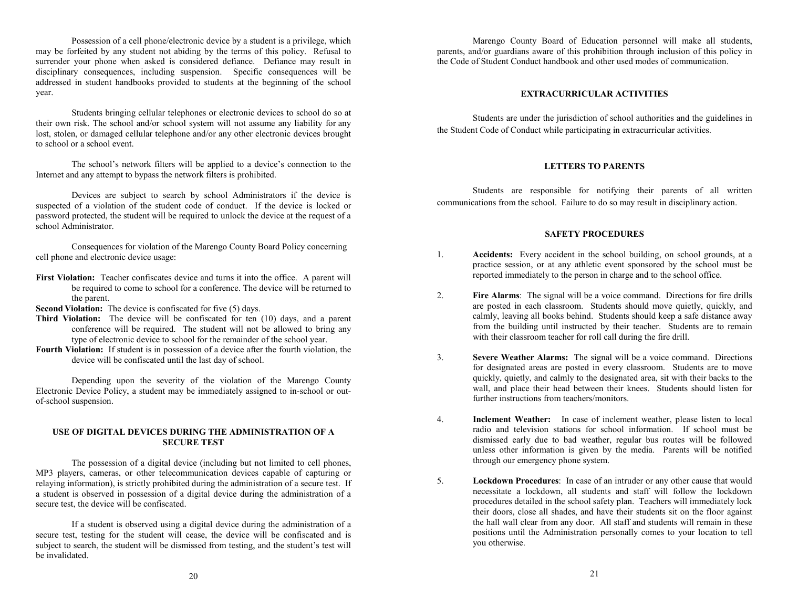Possession of a cell phone/electronic device by a student is a privilege, which may be forfeited by any student not abiding by the terms of this policy. Refusal to surrender your phone when asked is considered defiance. Defiance may result in disciplinary consequences, including suspension. Specific consequences will be addressed in student handbooks provided to students at the beginning of the school year.

Students bringing cellular telephones or electronic devices to school do so at their own risk. The school and/or school system will not assume any liability for any lost, stolen, or damaged cellular telephone and/or any other electronic devices brought to school or a school event.

The school's network filters will be applied to a device's connection to the Internet and any attempt to bypass the network filters is prohibited.

Devices are subject to search by school Administrators if the device is suspected of a violation of the student code of conduct. If the device is locked or password protected, the student will be required to unlock the device at the request of a school Administrator.

Consequences for violation of the Marengo County Board Policy concerning cell phone and electronic device usage:

**First Violation:** Teacher confiscates device and turns it into the office. A parent will be required to come to school for a conference. The device will be returned to the parent.

**Second Violation:** The device is confiscated for five (5) days.

- **Third Violation:** The device will be confiscated for ten (10) days, and a parent conference will be required. The student will not be allowed to bring any type of electronic device to school for the remainder of the school year.
- **Fourth Violation:** If student is in possession of a device after the fourth violation, the device will be confiscated until the last day of school.

Depending upon the severity of the violation of the Marengo County Electronic Device Policy, a student may be immediately assigned to in-school or outof-school suspension.

# **USE OF DIGITAL DEVICES DURING THE ADMINISTRATION OF A SECURE TEST**

The possession of a digital device (including but not limited to cell phones, MP3 players, cameras, or other telecommunication devices capable of capturing or relaying information), is strictly prohibited during the administration of a secure test. If a student is observed in possession of a digital device during the administration of a secure test, the device will be confiscated.

If a student is observed using a digital device during the administration of a secure test, testing for the student will cease, the device will be confiscated and is subject to search, the student will be dismissed from testing, and the student's test will be invalidated.

Marengo County Board of Education personnel will make all students, parents, and/or guardians aware of this prohibition through inclusion of this policy in the Code of Student Conduct handbook and other used modes of communication.

# **EXTRACURRICULAR ACTIVITIES**

Students are under the jurisdiction of school authorities and the guidelines in the Student Code of Conduct while participating in extracurricular activities.

# **LETTERS TO PARENTS**

Students are responsible for notifying their parents of all written communications from the school. Failure to do so may result in disciplinary action.

# **SAFETY PROCEDURES**

- 1. **Accidents:** Every accident in the school building, on school grounds, at a practice session, or at any athletic event sponsored by the school must be reported immediately to the person in charge and to the school office.
- 2. **Fire Alarms**: The signal will be a voice command. Directions for fire drills are posted in each classroom. Students should move quietly, quickly, and calmly, leaving all books behind. Students should keep a safe distance away from the building until instructed by their teacher. Students are to remain with their classroom teacher for roll call during the fire drill.
- 3. **Severe Weather Alarms:** The signal will be a voice command. Directions for designated areas are posted in every classroom. Students are to move quickly, quietly, and calmly to the designated area, sit with their backs to the wall, and place their head between their knees. Students should listen for further instructions from teachers/monitors.
- 4. **Inclement Weather:** In case of inclement weather, please listen to local radio and television stations for school information. If school must be dismissed early due to bad weather, regular bus routes will be followed unless other information is given by the media. Parents will be notified through our emergency phone system.
- 5. **Lockdown Procedures**: In case of an intruder or any other cause that would necessitate a lockdown, all students and staff will follow the lockdown procedures detailed in the school safety plan. Teachers will immediately lock their doors, close all shades, and have their students sit on the floor against the hall wall clear from any door. All staff and students will remain in these positions until the Administration personally comes to your location to tell you otherwise.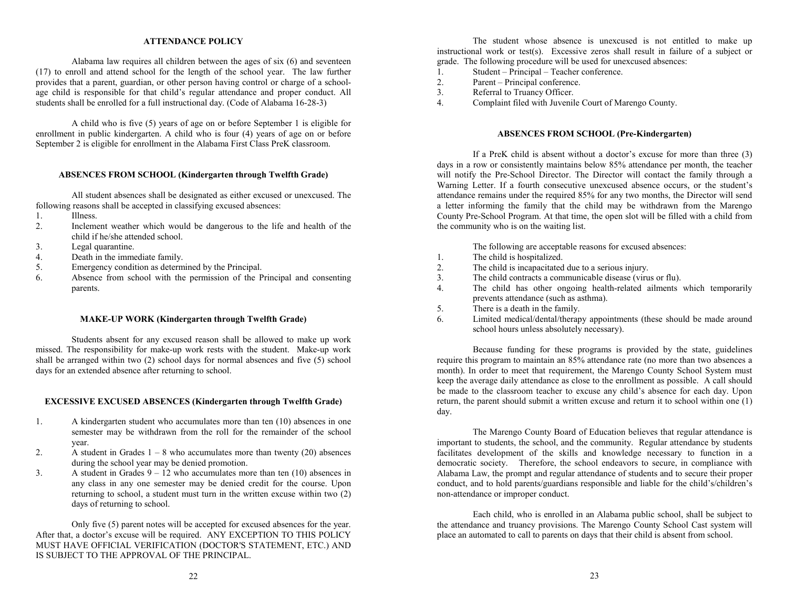#### **ATTENDANCE POLICY**

Alabama law requires all children between the ages of six (6) and seventeen (17) to enroll and attend school for the length of the school year. The law further provides that a parent, guardian, or other person having control or charge of a schoolage child is responsible for that child's regular attendance and proper conduct. All students shall be enrolled for a full instructional day. (Code of Alabama 16-28-3)

A child who is five (5) years of age on or before September 1 is eligible for enrollment in public kindergarten. A child who is four (4) years of age on or before September 2 is eligible for enrollment in the Alabama First Class PreK classroom.

# **ABSENCES FROM SCHOOL (Kindergarten through Twelfth Grade)**

All student absences shall be designated as either excused or unexcused. The following reasons shall be accepted in classifying excused absences:

- 1. Illness.<br>2 Incleme
- Inclement weather which would be dangerous to the life and health of the child if he/she attended school.
- 3. Legal quarantine.
- 4. Death in the immediate family.<br>5. Emergency condition as determined
- Emergency condition as determined by the Principal.
- 6. Absence from school with the permission of the Principal and consenting parents.

#### **MAKE-UP WORK (Kindergarten through Twelfth Grade)**

Students absent for any excused reason shall be allowed to make up work missed. The responsibility for make-up work rests with the student. Make-up work shall be arranged within two (2) school days for normal absences and five (5) school days for an extended absence after returning to school.

#### **EXCESSIVE EXCUSED ABSENCES (Kindergarten through Twelfth Grade)**

- 1. A kindergarten student who accumulates more than ten (10) absences in one semester may be withdrawn from the roll for the remainder of the school year.
- 2. A student in Grades  $1 8$  who accumulates more than twenty (20) absences during the school year may be denied promotion.
- 3. A student in Grades  $9 12$  who accumulates more than ten (10) absences in any class in any one semester may be denied credit for the course. Upon returning to school, a student must turn in the written excuse within two (2) days of returning to school.

Only five (5) parent notes will be accepted for excused absences for the year. After that, a doctor's excuse will be required. ANY EXCEPTION TO THIS POLICY MUST HAVE OFFICIAL VERIFICATION (DOCTOR'S STATEMENT, ETC.) AND IS SUBJECT TO THE APPROVAL OF THE PRINCIPAL.

The student whose absence is unexcused is not entitled to make up instructional work or test(s). Excessive zeros shall result in failure of a subject or grade. The following procedure will be used for unexcused absences:

- 1. Student Principal Teacher conference.<br>2. Parent Principal conference.
- 2. Parent Principal conference.<br>3. Referral to Truancy Officer.
- Referral to Truancy Officer.
- 4. Complaint filed with Juvenile Court of Marengo County.

# **ABSENCES FROM SCHOOL (Pre-Kindergarten)**

If a PreK child is absent without a doctor's excuse for more than three (3) days in a row or consistently maintains below 85% attendance per month, the teacher will notify the Pre-School Director. The Director will contact the family through a Warning Letter. If a fourth consecutive unexcused absence occurs, or the student's attendance remains under the required 85% for any two months, the Director will send a letter informing the family that the child may be withdrawn from the Marengo County Pre-School Program. At that time, the open slot will be filled with a child from the community who is on the waiting list.

The following are acceptable reasons for excused absences:

- 1. The child is hospitalized.
- 2. The child is incapacitated due to a serious injury.
- 3. The child contracts a communicable disease (virus or flu).<br>4 The child has other ongoing health-related ailments
- The child has other ongoing health-related ailments which temporarily prevents attendance (such as asthma).
- 5. There is a death in the family.
- 6. Limited medical/dental/therapy appointments (these should be made around school hours unless absolutely necessary).

Because funding for these programs is provided by the state, guidelines require this program to maintain an 85% attendance rate (no more than two absences a month). In order to meet that requirement, the Marengo County School System must keep the average daily attendance as close to the enrollment as possible. A call should be made to the classroom teacher to excuse any child's absence for each day. Upon return, the parent should submit a written excuse and return it to school within one (1) day.

The Marengo County Board of Education believes that regular attendance is important to students, the school, and the community. Regular attendance by students facilitates development of the skills and knowledge necessary to function in a democratic society. Therefore, the school endeavors to secure, in compliance with Alabama Law, the prompt and regular attendance of students and to secure their proper conduct, and to hold parents/guardians responsible and liable for the child's/children's non-attendance or improper conduct.

Each child, who is enrolled in an Alabama public school, shall be subject to the attendance and truancy provisions. The Marengo County School Cast system will place an automated to call to parents on days that their child is absent from school.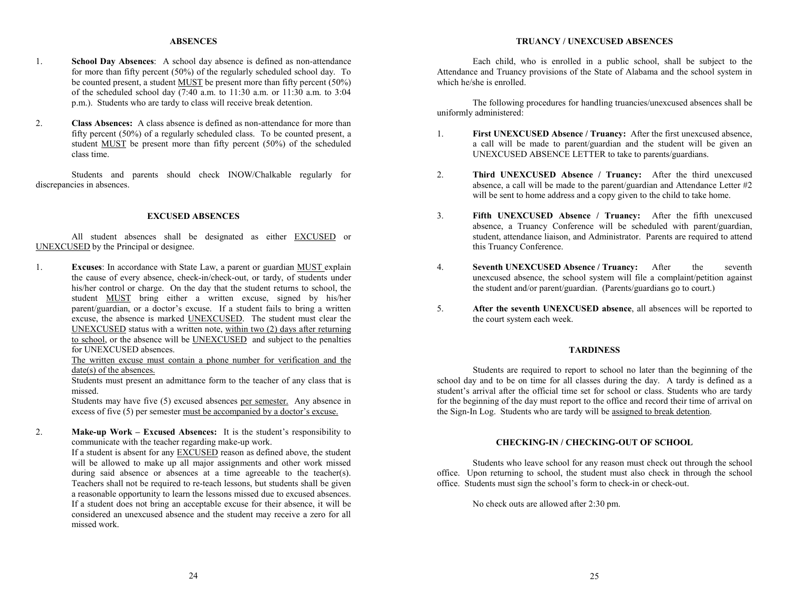# **ABSENCES**

- 1. **School Day Absences**: A school day absence is defined as non-attendance for more than fifty percent (50%) of the regularly scheduled school day. To be counted present, a student MUST be present more than fifty percent (50%) of the scheduled school day  $\overline{(7:40 \text{ a.m. to } 11:30 \text{ a.m. or } 11:30 \text{ a.m. to } 3:04)}$ p.m.). Students who are tardy to class will receive break detention.
- 2. **Class Absences:** A class absence is defined as non-attendance for more than fifty percent (50%) of a regularly scheduled class. To be counted present, a student MUST be present more than fifty percent (50%) of the scheduled class time.

Students and parents should check INOW/Chalkable regularly for discrepancies in absences.

## **EXCUSED ABSENCES**

All student absences shall be designated as either EXCUSED or UNEXCUSED by the Principal or designee.

1. **Excuses**: In accordance with State Law, a parent or guardian MUST explain the cause of every absence, check-in/check-out, or tardy, of students under his/her control or charge. On the day that the student returns to school, the student MUST bring either a written excuse, signed by his/her parent/guardian, or a doctor's excuse. If a student fails to bring a written excuse, the absence is marked UNEXCUSED. The student must clear the UNEXCUSED status with a written note, within two (2) days after returning to school, or the absence will be UNEXCUSED and subject to the penalties for UNEXCUSED absences.

The written excuse must contain a phone number for verification and the date(s) of the absences.

Students must present an admittance form to the teacher of any class that is missed.

Students may have five (5) excused absences per semester. Any absence in excess of five (5) per semester must be accompanied by a doctor's excuse.

2. **Make-up Work – Excused Absences:** It is the student's responsibility to communicate with the teacher regarding make-up work.

If a student is absent for any EXCUSED reason as defined above, the student will be allowed to make up all major assignments and other work missed during said absence or absences at a time agreeable to the teacher(s). Teachers shall not be required to re-teach lessons, but students shall be given a reasonable opportunity to learn the lessons missed due to excused absences. If a student does not bring an acceptable excuse for their absence, it will be considered an unexcused absence and the student may receive a zero for all missed work.

# **TRUANCY / UNEXCUSED ABSENCES**

Each child, who is enrolled in a public school, shall be subject to the Attendance and Truancy provisions of the State of Alabama and the school system in which he/she is enrolled.

The following procedures for handling truancies/unexcused absences shall be uniformly administered:

- 1. **First UNEXCUSED Absence / Truancy:** After the first unexcused absence, a call will be made to parent/guardian and the student will be given an UNEXCUSED ABSENCE LETTER to take to parents/guardians.
- 2. **Third UNEXCUSED Absence / Truancy:** After the third unexcused absence, a call will be made to the parent/guardian and Attendance Letter #2 will be sent to home address and a copy given to the child to take home.
- 3. **Fifth UNEXCUSED Absence / Truancy:** After the fifth unexcused absence, a Truancy Conference will be scheduled with parent/guardian, student, attendance liaison, and Administrator. Parents are required to attend this Truancy Conference.
- 4. **Seventh UNEXCUSED Absence / Truancy:** After the seventh unexcused absence, the school system will file a complaint/petition against the student and/or parent/guardian. (Parents/guardians go to court.)
- 5. **After the seventh UNEXCUSED absence**, all absences will be reported to the court system each week.

#### **TARDINESS**

Students are required to report to school no later than the beginning of the school day and to be on time for all classes during the day. A tardy is defined as a student's arrival after the official time set for school or class. Students who are tardy for the beginning of the day must report to the office and record their time of arrival on the Sign-In Log. Students who are tardy will be assigned to break detention.

# **CHECKING-IN / CHECKING-OUT OF SCHOOL**

Students who leave school for any reason must check out through the school office. Upon returning to school, the student must also check in through the school office. Students must sign the school's form to check-in or check-out.

No check outs are allowed after 2:30 pm.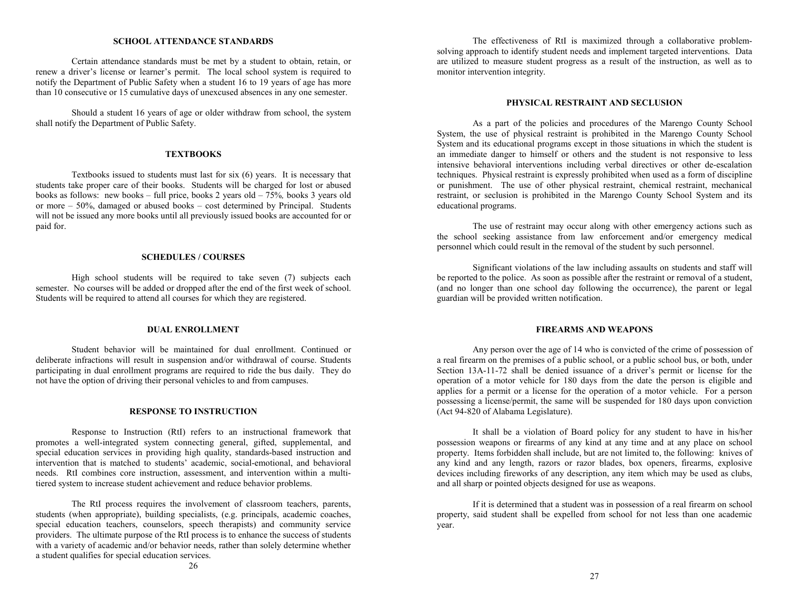#### **SCHOOL ATTENDANCE STANDARDS**

Certain attendance standards must be met by a student to obtain, retain, or renew a driver's license or learner's permit. The local school system is required to notify the Department of Public Safety when a student 16 to 19 years of age has more than 10 consecutive or 15 cumulative days of unexcused absences in any one semester.

Should a student 16 years of age or older withdraw from school, the system shall notify the Department of Public Safety.

#### **TEXTBOOKS**

Textbooks issued to students must last for six (6) years. It is necessary that students take proper care of their books. Students will be charged for lost or abused books as follows: new books – full price, books 2 years old – 75%*,* books 3 years old or more – 50%, damaged or abused books – cost determined by Principal. Students will not be issued any more books until all previously issued books are accounted for or paid for.

#### **SCHEDULES / COURSES**

High school students will be required to take seven (7) subjects each semester. No courses will be added or dropped after the end of the first week of school. Students will be required to attend all courses for which they are registered.

#### **DUAL ENROLLMENT**

Student behavior will be maintained for dual enrollment. Continued or deliberate infractions will result in suspension and/or withdrawal of course. Students participating in dual enrollment programs are required to ride the bus daily. They do not have the option of driving their personal vehicles to and from campuses.

#### **RESPONSE TO INSTRUCTION**

Response to Instruction (RtI) refers to an instructional framework that promotes a well-integrated system connecting general, gifted, supplemental, and special education services in providing high quality, standards-based instruction and intervention that is matched to students' academic, social-emotional, and behavioral needs. RtI combines core instruction, assessment, and intervention within a multitiered system to increase student achievement and reduce behavior problems.

The RtI process requires the involvement of classroom teachers, parents, students (when appropriate), building specialists, (e.g. principals, academic coaches, special education teachers, counselors, speech therapists) and community service providers. The ultimate purpose of the RtI process is to enhance the success of students with a variety of academic and/or behavior needs, rather than solely determine whether a student qualifies for special education services.

The effectiveness of RtI is maximized through a collaborative problemsolving approach to identify student needs and implement targeted interventions. Data are utilized to measure student progress as a result of the instruction, as well as to monitor intervention integrity.

#### **PHYSICAL RESTRAINT AND SECLUSION**

As a part of the policies and procedures of the Marengo County School System, the use of physical restraint is prohibited in the Marengo County School System and its educational programs except in those situations in which the student is an immediate danger to himself or others and the student is not responsive to less intensive behavioral interventions including verbal directives or other de-escalation techniques. Physical restraint is expressly prohibited when used as a form of discipline or punishment. The use of other physical restraint, chemical restraint, mechanical restraint, or seclusion is prohibited in the Marengo County School System and its educational programs.

The use of restraint may occur along with other emergency actions such as the school seeking assistance from law enforcement and/or emergency medical personnel which could result in the removal of the student by such personnel.

Significant violations of the law including assaults on students and staff will be reported to the police. As soon as possible after the restraint or removal of a student, (and no longer than one school day following the occurrence), the parent or legal guardian will be provided written notification.

#### **FIREARMS AND WEAPONS**

Any person over the age of 14 who is convicted of the crime of possession of a real firearm on the premises of a public school, or a public school bus, or both, under Section 13A-11-72 shall be denied issuance of a driver's permit or license for the operation of a motor vehicle for 180 days from the date the person is eligible and applies for a permit or a license for the operation of a motor vehicle. For a person possessing a license/permit, the same will be suspended for 180 days upon conviction (Act 94-820 of Alabama Legislature).

It shall be a violation of Board policy for any student to have in his/her possession weapons or firearms of any kind at any time and at any place on school property. Items forbidden shall include, but are not limited to, the following: knives of any kind and any length, razors or razor blades, box openers, firearms, explosive devices including fireworks of any description, any item which may be used as clubs, and all sharp or pointed objects designed for use as weapons.

If it is determined that a student was in possession of a real firearm on school property, said student shall be expelled from school for not less than one academic year.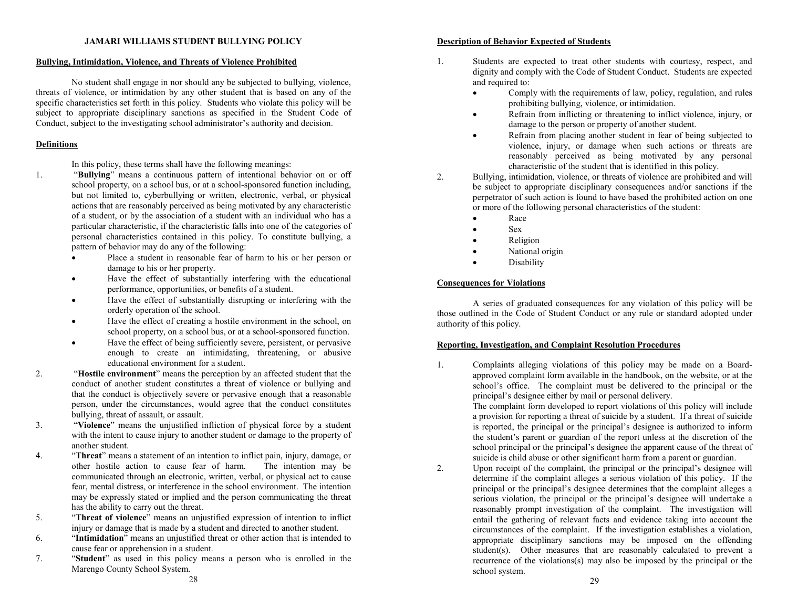#### **JAMARI WILLIAMS STUDENT BULLYING POLICY**

# **Bullying, Intimidation, Violence, and Threats of Violence Prohibited**

No student shall engage in nor should any be subjected to bullying, violence, threats of violence, or intimidation by any other student that is based on any of the specific characteristics set forth in this policy. Students who violate this policy will be subject to appropriate disciplinary sanctions as specified in the Student Code of Conduct, subject to the investigating school administrator's authority and decision.

#### **Definitions**

In this policy, these terms shall have the following meanings:

- 1. "**Bullying**" means a continuous pattern of intentional behavior on or off school property, on a school bus, or at a school-sponsored function including, but not limited to, cyberbullying or written, electronic, verbal, or physical actions that are reasonably perceived as being motivated by any characteristic of a student, or by the association of a student with an individual who has a particular characteristic, if the characteristic falls into one of the categories of personal characteristics contained in this policy. To constitute bullying, a pattern of behavior may do any of the following:
	- Place a student in reasonable fear of harm to his or her person or damage to his or her property.
	- Have the effect of substantially interfering with the educational performance, opportunities, or benefits of a student.
	- Have the effect of substantially disrupting or interfering with the orderly operation of the school.
	- Have the effect of creating a hostile environment in the school, on school property, on a school bus, or at a school-sponsored function.
	- Have the effect of being sufficiently severe, persistent, or pervasive enough to create an intimidating, threatening, or abusive educational environment for a student.
- 2. "**Hostile environment**" means the perception by an affected student that the conduct of another student constitutes a threat of violence or bullying and that the conduct is objectively severe or pervasive enough that a reasonable person, under the circumstances, would agree that the conduct constitutes bullying, threat of assault, or assault.
- 3. "**Violence**" means the unjustified infliction of physical force by a student with the intent to cause injury to another student or damage to the property of another student.
- 4. "**Threat**" means a statement of an intention to inflict pain, injury, damage, or other hostile action to cause fear of harm. communicated through an electronic, written, verbal, or physical act to cause fear, mental distress, or interference in the school environment. The intention may be expressly stated or implied and the person communicating the threat has the ability to carry out the threat.
- 5. "**Threat of violence**" means an unjustified expression of intention to inflict injury or damage that is made by a student and directed to another student.
- 6. "**Intimidation**" means an unjustified threat or other action that is intended to cause fear or apprehension in a student.
- 7. "**Student**" as used in this policy means a person who is enrolled in the Marengo County School System.

# **Description of Behavior Expected of Students**

- 1. Students are expected to treat other students with courtesy, respect, and dignity and comply with the Code of Student Conduct. Students are expected and required to:
	- Comply with the requirements of law, policy, regulation, and rules prohibiting bullying, violence, or intimidation.
	- Refrain from inflicting or threatening to inflict violence, injury, or damage to the person or property of another student.
	- Refrain from placing another student in fear of being subjected to violence, injury, or damage when such actions or threats are reasonably perceived as being motivated by any personal characteristic of the student that is identified in this policy.
- 2. Bullying, intimidation, violence, or threats of violence are prohibited and will be subject to appropriate disciplinary consequences and/or sanctions if the perpetrator of such action is found to have based the prohibited action on one or more of the following personal characteristics of the student:
	- Race
	- Sex
	- Religion
	- National origin
	- Disability

# **Consequences for Violations**

A series of graduated consequences for any violation of this policy will be those outlined in the Code of Student Conduct or any rule or standard adopted under authority of this policy.

# **Reporting, Investigation, and Complaint Resolution Procedures**

1. Complaints alleging violations of this policy may be made on a Boardapproved complaint form available in the handbook, on the website, or at the school's office. The complaint must be delivered to the principal or the principal's designee either by mail or personal delivery.

The complaint form developed to report violations of this policy will include a provision for reporting a threat of suicide by a student. If a threat of suicide is reported, the principal or the principal's designee is authorized to inform the student's parent or guardian of the report unless at the discretion of the school principal or the principal's designee the apparent cause of the threat of suicide is child abuse or other significant harm from a parent or guardian.

2. Upon receipt of the complaint, the principal or the principal's designee will determine if the complaint alleges a serious violation of this policy. If the principal or the principal's designee determines that the complaint alleges a serious violation, the principal or the principal's designee will undertake a reasonably prompt investigation of the complaint. The investigation will entail the gathering of relevant facts and evidence taking into account the circumstances of the complaint. If the investigation establishes a violation, appropriate disciplinary sanctions may be imposed on the offending student(s). Other measures that are reasonably calculated to prevent a recurrence of the violations(s) may also be imposed by the principal or the school system.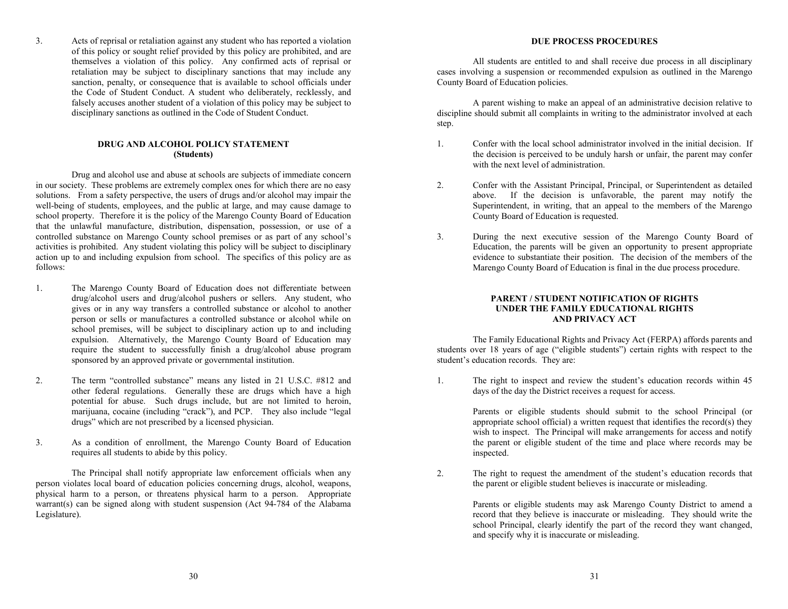3. Acts of reprisal or retaliation against any student who has reported a violation of this policy or sought relief provided by this policy are prohibited, and are themselves a violation of this policy. Any confirmed acts of reprisal or retaliation may be subject to disciplinary sanctions that may include any sanction, penalty, or consequence that is available to school officials under the Code of Student Conduct. A student who deliberately, recklessly, and falsely accuses another student of a violation of this policy may be subject to disciplinary sanctions as outlined in the Code of Student Conduct.

# **DRUG AND ALCOHOL POLICY STATEMENT (Students)**

Drug and alcohol use and abuse at schools are subjects of immediate concern in our society. These problems are extremely complex ones for which there are no easy solutions. From a safety perspective, the users of drugs and/or alcohol may impair the well-being of students, employees, and the public at large, and may cause damage to school property. Therefore it is the policy of the Marengo County Board of Education that the unlawful manufacture, distribution, dispensation, possession, or use of a controlled substance on Marengo County school premises or as part of any school's activities is prohibited. Any student violating this policy will be subject to disciplinary action up to and including expulsion from school. The specifics of this policy are as follows:

- 1. The Marengo County Board of Education does not differentiate between drug/alcohol users and drug/alcohol pushers or sellers. Any student, who gives or in any way transfers a controlled substance or alcohol to another person or sells or manufactures a controlled substance or alcohol while on school premises, will be subject to disciplinary action up to and including expulsion. Alternatively, the Marengo County Board of Education may require the student to successfully finish a drug/alcohol abuse program sponsored by an approved private or governmental institution.
- 2. The term "controlled substance" means any listed in 21 U.S.C. #812 and other federal regulations. Generally these are drugs which have a high potential for abuse. Such drugs include, but are not limited to heroin, marijuana, cocaine (including "crack"), and PCP. They also include "legal drugs" which are not prescribed by a licensed physician.
- 3. As a condition of enrollment, the Marengo County Board of Education requires all students to abide by this policy.

The Principal shall notify appropriate law enforcement officials when any person violates local board of education policies concerning drugs, alcohol, weapons, physical harm to a person, or threatens physical harm to a person. Appropriate warrant(s) can be signed along with student suspension (Act 94-784 of the Alabama Legislature).

# **DUE PROCESS PROCEDURES**

All students are entitled to and shall receive due process in all disciplinary cases involving a suspension or recommended expulsion as outlined in the Marengo County Board of Education policies.

A parent wishing to make an appeal of an administrative decision relative to discipline should submit all complaints in writing to the administrator involved at each step.

- 1. Confer with the local school administrator involved in the initial decision. If the decision is perceived to be unduly harsh or unfair, the parent may confer with the next level of administration.
- 2. Confer with the Assistant Principal, Principal, or Superintendent as detailed above. If the decision is unfavorable, the parent may notify the Superintendent, in writing, that an appeal to the members of the Marengo County Board of Education is requested.
- 3. During the next executive session of the Marengo County Board of Education, the parents will be given an opportunity to present appropriate evidence to substantiate their position. The decision of the members of the Marengo County Board of Education is final in the due process procedure.

# **PARENT / STUDENT NOTIFICATION OF RIGHTS UNDER THE FAMILY EDUCATIONAL RIGHTS AND PRIVACY ACT**

The Family Educational Rights and Privacy Act (FERPA) affords parents and students over 18 years of age ("eligible students") certain rights with respect to the student's education records. They are:

1. The right to inspect and review the student's education records within 45 days of the day the District receives a request for access.

> Parents or eligible students should submit to the school Principal (or appropriate school official) a written request that identifies the record $(s)$  they wish to inspect. The Principal will make arrangements for access and notify the parent or eligible student of the time and place where records may be inspected.

2. The right to request the amendment of the student's education records that the parent or eligible student believes is inaccurate or misleading.

> Parents or eligible students may ask Marengo County District to amend a record that they believe is inaccurate or misleading. They should write the school Principal, clearly identify the part of the record they want changed, and specify why it is inaccurate or misleading.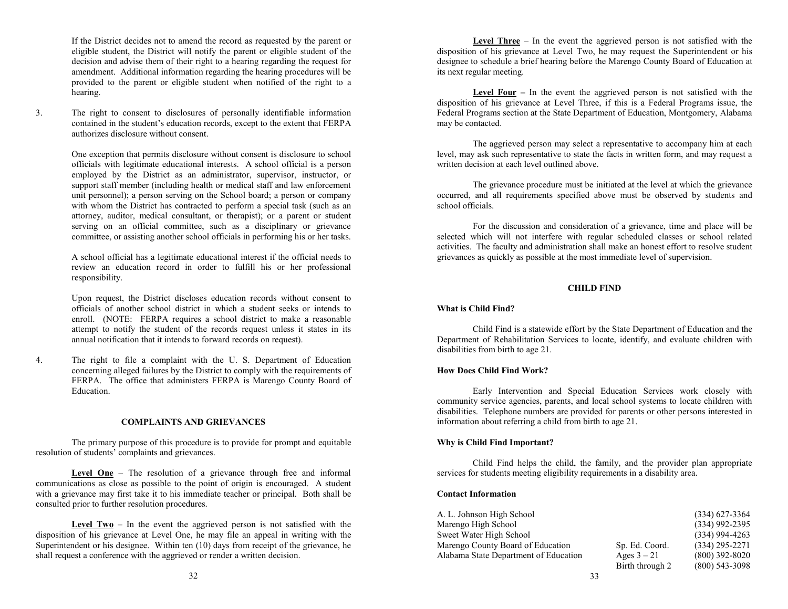If the District decides not to amend the record as requested by the parent or eligible student, the District will notify the parent or eligible student of the decision and advise them of their right to a hearing regarding the request for amendment. Additional information regarding the hearing procedures will be provided to the parent or eligible student when notified of the right to a hearing.

3. The right to consent to disclosures of personally identifiable information contained in the student's education records, except to the extent that FERPA authorizes disclosure without consent.

> One exception that permits disclosure without consent is disclosure to school officials with legitimate educational interests. A school official is a person employed by the District as an administrator, supervisor, instructor, or support staff member (including health or medical staff and law enforcement unit personnel); a person serving on the School board; a person or company with whom the District has contracted to perform a special task (such as an attorney, auditor, medical consultant, or therapist); or a parent or student serving on an official committee, such as a disciplinary or grievance committee, or assisting another school officials in performing his or her tasks.

> A school official has a legitimate educational interest if the official needs to review an education record in order to fulfill his or her professional responsibility.

> Upon request, the District discloses education records without consent to officials of another school district in which a student seeks or intends to enroll. (NOTE: FERPA requires a school district to make a reasonable attempt to notify the student of the records request unless it states in its annual notification that it intends to forward records on request).

4. The right to file a complaint with the U. S. Department of Education concerning alleged failures by the District to comply with the requirements of FERPA. The office that administers FERPA is Marengo County Board of Education.

#### **COMPLAINTS AND GRIEVANCES**

The primary purpose of this procedure is to provide for prompt and equitable resolution of students' complaints and grievances.

Level One – The resolution of a grievance through free and informal communications as close as possible to the point of origin is encouraged. A student with a grievance may first take it to his immediate teacher or principal. Both shall be consulted prior to further resolution procedures.

**Level Two** – In the event the aggrieved person is not satisfied with the disposition of his grievance at Level One, he may file an appeal in writing with the Superintendent or his designee. Within ten (10) days from receipt of the grievance, he shall request a conference with the aggrieved or render a written decision.

**Level Three** – In the event the aggrieved person is not satisfied with the disposition of his grievance at Level Two, he may request the Superintendent or his designee to schedule a brief hearing before the Marengo County Board of Education at its next regular meeting.

**Level Four –** In the event the aggrieved person is not satisfied with the disposition of his grievance at Level Three, if this is a Federal Programs issue, the Federal Programs section at the State Department of Education, Montgomery, Alabama may be contacted.

The aggrieved person may select a representative to accompany him at each level, may ask such representative to state the facts in written form, and may request a written decision at each level outlined above.

The grievance procedure must be initiated at the level at which the grievance occurred, and all requirements specified above must be observed by students and school officials.

For the discussion and consideration of a grievance, time and place will be selected which will not interfere with regular scheduled classes or school related activities. The faculty and administration shall make an honest effort to resolve student grievances as quickly as possible at the most immediate level of supervision.

# **CHILD FIND**

# **What is Child Find?**

Child Find is a statewide effort by the State Department of Education and the Department of Rehabilitation Services to locate, identify, and evaluate children with disabilities from birth to age 21.

# **How Does Child Find Work?**

Early Intervention and Special Education Services work closely with community service agencies, parents, and local school systems to locate children with disabilities. Telephone numbers are provided for parents or other persons interested in information about referring a child from birth to age 21.

#### **Why is Child Find Important?**

Child Find helps the child, the family, and the provider plan appropriate services for students meeting eligibility requirements in a disability area.

# **Contact Information**

| A. L. Johnson High School             |                 | $(334)$ 627-3364 |
|---------------------------------------|-----------------|------------------|
| Marengo High School                   |                 | $(334)$ 992-2395 |
| Sweet Water High School               |                 | $(334)$ 994-4263 |
| Marengo County Board of Education     | Sp. Ed. Coord.  | $(334)$ 295-2271 |
| Alabama State Department of Education | Ages $3 - 21$   | $(800)$ 392-8020 |
|                                       | Birth through 2 | $(800)$ 543-3098 |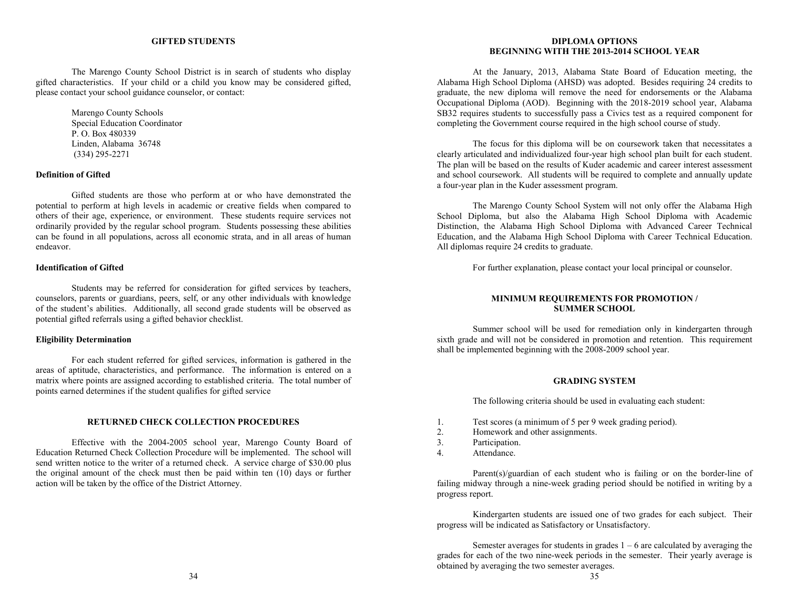#### **GIFTED STUDENTS**

The Marengo County School District is in search of students who display gifted characteristics. If your child or a child you know may be considered gifted, please contact your school guidance counselor, or contact:

> Marengo County Schools Special Education Coordinator P. O. Box 480339 Linden, Alabama 36748 (334) 295-2271

# **Definition of Gifted**

Gifted students are those who perform at or who have demonstrated the potential to perform at high levels in academic or creative fields when compared to others of their age, experience, or environment. These students require services not ordinarily provided by the regular school program. Students possessing these abilities can be found in all populations, across all economic strata, and in all areas of human endeavor.

#### **Identification of Gifted**

Students may be referred for consideration for gifted services by teachers, counselors, parents or guardians, peers, self, or any other individuals with knowledge of the student's abilities. Additionally, all second grade students will be observed as potential gifted referrals using a gifted behavior checklist.

#### **Eligibility Determination**

For each student referred for gifted services, information is gathered in the areas of aptitude, characteristics, and performance. The information is entered on a matrix where points are assigned according to established criteria. The total number of points earned determines if the student qualifies for gifted service

#### **RETURNED CHECK COLLECTION PROCEDURES**

Effective with the 2004-2005 school year, Marengo County Board of Education Returned Check Collection Procedure will be implemented. The school will send written notice to the writer of a returned check. A service charge of \$30.00 plus the original amount of the check must then be paid within ten (10) days or further action will be taken by the office of the District Attorney.

#### **DIPLOMA OPTIONS BEGINNING WITH THE 2013-2014 SCHOOL YEAR**

At the January, 2013, Alabama State Board of Education meeting, the Alabama High School Diploma (AHSD) was adopted. Besides requiring 24 credits to graduate, the new diploma will remove the need for endorsements or the Alabama Occupational Diploma (AOD). Beginning with the 2018-2019 school year, Alabama SB32 requires students to successfully pass a Civics test as a required component for completing the Government course required in the high school course of study.

The focus for this diploma will be on coursework taken that necessitates a clearly articulated and individualized four-year high school plan built for each student. The plan will be based on the results of Kuder academic and career interest assessment and school coursework. All students will be required to complete and annually update a four-year plan in the Kuder assessment program.

The Marengo County School System will not only offer the Alabama High School Diploma, but also the Alabama High School Diploma with Academic Distinction, the Alabama High School Diploma with Advanced Career Technical Education, and the Alabama High School Diploma with Career Technical Education. All diplomas require 24 credits to graduate.

For further explanation, please contact your local principal or counselor.

#### **MINIMUM REQUIREMENTS FOR PROMOTION / SUMMER SCHOOL**

Summer school will be used for remediation only in kindergarten through sixth grade and will not be considered in promotion and retention. This requirement shall be implemented beginning with the 2008-2009 school year.

# **GRADING SYSTEM**

The following criteria should be used in evaluating each student:

- 1. Test scores (a minimum of 5 per 9 week grading period).<br>2. Homework and other assignments.
- 2. Homework and other assignments.<br>3. Participation.
- Participation.
- 4. Attendance.

Parent(s)/guardian of each student who is failing or on the border-line of failing midway through a nine-week grading period should be notified in writing by a progress report.

Kindergarten students are issued one of two grades for each subject. Their progress will be indicated as Satisfactory or Unsatisfactory.

Semester averages for students in grades  $1 - 6$  are calculated by averaging the grades for each of the two nine-week periods in the semester. Their yearly average is obtained by averaging the two semester averages.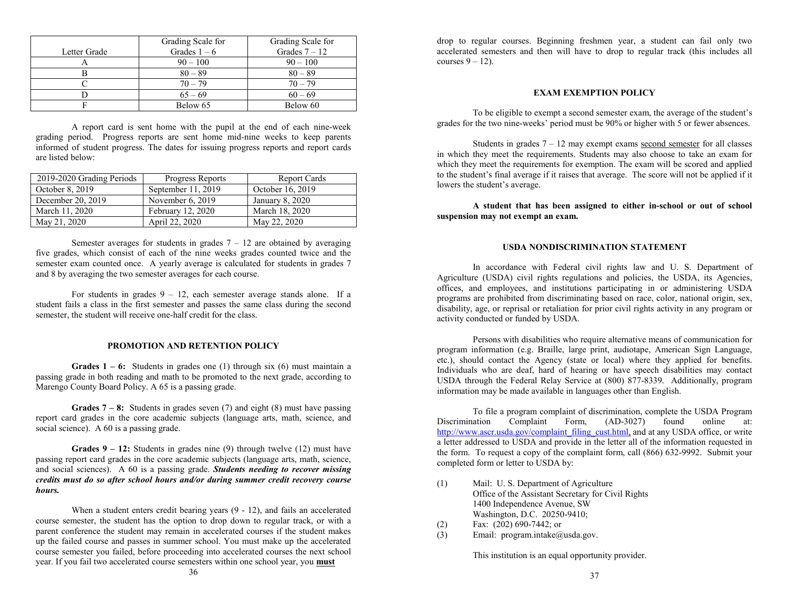|              | Grading Scale for | Grading Scale for |
|--------------|-------------------|-------------------|
| Letter Grade | Grades $1-6$      | Grades $7 - 12$   |
|              | $90 - 100$        | $90 - 100$        |
|              | $80 - 89$         | $80 - 89$         |
|              | $70 - 79$         | $70 - 79$         |
|              | $65 - 69$         | $60 - 69$         |
|              | Below 65          | Below 60          |

A report card is sent home with the pupil at the end of each nine-week grading period. Progress reports are sent home mid-nine weeks to keep parents informed of student progress. The dates for issuing progress reports and report cards are listed below:

| 2019-2020 Grading Periods | Progress Reports   | <b>Report Cards</b> |
|---------------------------|--------------------|---------------------|
| October 8, 2019           | September 11, 2019 | October 16, 2019    |
| December 20, 2019         | November $6, 2019$ | January 8, 2020     |
| March 11, 2020            | February 12, 2020  | March 18, 2020      |
| May 21, 2020              | April 22, 2020     | May 22, 2020        |

Semester averages for students in grades  $7 - 12$  are obtained by averaging five grades, which consist of each of the nine weeks grades counted twice and the semester exam counted once. A yearly average is calculated for students in grades 7 and 8 by averaging the two semester averages for each course.

For students in grades  $9 - 12$ , each semester average stands alone. If a student fails a class in the first semester and passes the same class during the second semester, the student will receive one-half credit for the class.

# **PROMOTION AND RETENTION POLICY**

**Grades 1 – 6:** Students in grades one (1) through six (6) must maintain a passing grade in both reading and math to be promoted to the next grade, according to Marengo County Board Policy. A 65 is a passing grade.

**Grades 7 – 8:** Students in grades seven (7) and eight (8) must have passing report card grades in the core academic subjects (language arts, math, science, and social science). A 60 is a passing grade.

**Grades 9 – 12:** Students in grades nine (9) through twelve (12) must have passing report card grades in the core academic subjects (language arts, math, science, and social sciences). A 60 is a passing grade. *Students needing to recover missing credits must do so after school hours and/or during summer credit recovery course hours.*

When a student enters credit bearing years  $(9 - 12)$ , and fails an accelerated course semester, the student has the option to drop down to regular track, or with a parent conference the student may remain in accelerated courses if the student makes up the failed course and passes in summer school. You must make up the accelerated course semester you failed, before proceeding into accelerated courses the next school year. If you fail two accelerated course semesters within one school year, you **must**

drop to regular courses. Beginning freshmen year, a student can fail only two accelerated semesters and then will have to drop to regular track (this includes all courses  $9 - 12$ ).

# **EXAM EXEMPTION POLICY**

To be eligible to exempt a second semester exam, the average of the student's grades for the two nine-weeks' period must be 90% or higher with 5 or fewer absences.

Students in grades  $7 - 12$  may exempt exams second semester for all classes in which they meet the requirements. Students may also choose to take an exam for which they meet the requirements for exemption. The exam will be scored and applied to the student's final average if it raises that average. The score will not be applied if it lowers the student's average.

**A student that has been assigned to either in-school or out of school suspension may not exempt an exam.**

# **USDA NONDISCRIMINATION STATEMENT**

In accordance with Federal civil rights law and U. S. Department of Agriculture (USDA) civil rights regulations and policies, the USDA, its Agencies, offices, and employees, and institutions participating in or administering USDA programs are prohibited from discriminating based on race, color, national origin, sex, disability, age, or reprisal or retaliation for prior civil rights activity in any program or activity conducted or funded by USDA.

Persons with disabilities who require alternative means of communication for program information (e.g. Braille, large print, audiotape, American Sign Language, etc.), should contact the Agency (state or local) where they applied for benefits. Individuals who are deaf, hard of hearing or have speech disabilities may contact USDA through the Federal Relay Service at (800) 877-8339. Additionally, program information may be made available in languages other than English.

To file a program complaint of discrimination, complete the USDA Program<br>
ation Complaint Form (AD-3027) found online at: Discrimination Complaint Form, (AD-3027) found online at: [http://www.ascr.usda.gov/complaint\\_filing\\_cust.html,](http://www.ascr.usda.gov/complaint_filing_cust.html) and at any USDA office, or write a letter addressed to USDA and provide in the letter all of the information requested in the form. To request a copy of the complaint form, call (866) 632-9992. Submit your completed form or letter to USDA by:

- (1) Mail: U. S. Department of Agriculture Office of the Assistant Secretary for Civil Rights 1400 Independence Avenue, SW Washington, D.C. 20250-9410;
- (2) Fax: (202) 690-7442; or<br>
(3) Email: program.intake@
- Email: program.intake@usda.gov.

This institution is an equal opportunity provider.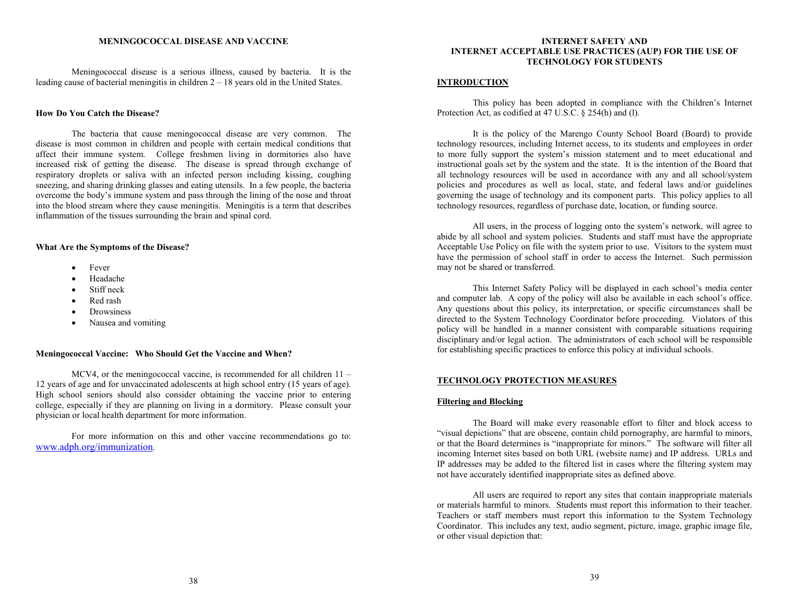Meningococcal disease is a serious illness, caused by bacteria. It is the leading cause of bacterial meningitis in children 2 – 18 years old in the United States.

# **How Do You Catch the Disease?**

The bacteria that cause meningococcal disease are very common. The disease is most common in children and people with certain medical conditions that affect their immune system. College freshmen living in dormitories also have increased risk of getting the disease. The disease is spread through exchange of respiratory droplets or saliva with an infected person including kissing, coughing sneezing, and sharing drinking glasses and eating utensils. In a few people, the bacteria overcome the body's immune system and pass through the lining of the nose and throat into the blood stream where they cause meningitis. Meningitis is a term that describes inflammation of the tissues surrounding the brain and spinal cord.

# **What Are the Symptoms of the Disease?**

- **Fever**
- Headache
- Stiff neck
- Red rash
- **Drowsiness**
- Nausea and vomiting

# **Meningococcal Vaccine: Who Should Get the Vaccine and When?**

MCV4, or the meningococcal vaccine, is recommended for all children 11 – 12 years of age and for unvaccinated adolescents at high school entry (15 years of age). High school seniors should also consider obtaining the vaccine prior to entering college, especially if they are planning on living in a dormitory. Please consult your physician or local health department for more information.

For more information on this and other vaccine recommendations go to: [www.adph.org/immunization.](http://www.adph.org/immunization)

#### **INTERNET SAFETY AND INTERNET ACCEPTABLE USE PRACTICES (AUP) FOR THE USE OF TECHNOLOGY FOR STUDENTS**

#### **INTRODUCTION**

This policy has been adopted in compliance with the Children's Internet Protection Act, as codified at 47 U.S.C. § 254(h) and (l).

It is the policy of the Marengo County School Board (Board) to provide technology resources, including Internet access, to its students and employees in order to more fully support the system's mission statement and to meet educational and instructional goals set by the system and the state. It is the intention of the Board that all technology resources will be used in accordance with any and all school/system policies and procedures as well as local, state, and federal laws and/or guidelines governing the usage of technology and its component parts. This policy applies to all technology resources, regardless of purchase date, location, or funding source.

All users, in the process of logging onto the system's network, will agree to abide by all school and system policies. Students and staff must have the appropriate Acceptable Use Policy on file with the system prior to use. Visitors to the system must have the permission of school staff in order to access the Internet. Such permission may not be shared or transferred.

This Internet Safety Policy will be displayed in each school's media center and computer lab. A copy of the policy will also be available in each school's office. Any questions about this policy, its interpretation, or specific circumstances shall be directed to the System Technology Coordinator before proceeding. Violators of this policy will be handled in a manner consistent with comparable situations requiring disciplinary and/or legal action. The administrators of each school will be responsible for establishing specific practices to enforce this policy at individual schools.

# **TECHNOLOGY PROTECTION MEASURES**

# **Filtering and Blocking**

The Board will make every reasonable effort to filter and block access to "visual depictions" that are obscene, contain child pornography, are harmful to minors, or that the Board determines is "inappropriate for minors." The software will filter all incoming Internet sites based on both URL (website name) and IP address. URLs and IP addresses may be added to the filtered list in cases where the filtering system may not have accurately identified inappropriate sites as defined above.

All users are required to report any sites that contain inappropriate materials or materials harmful to minors. Students must report this information to their teacher. Teachers or staff members must report this information to the System Technology Coordinator. This includes any text, audio segment, picture, image, graphic image file, or other visual depiction that: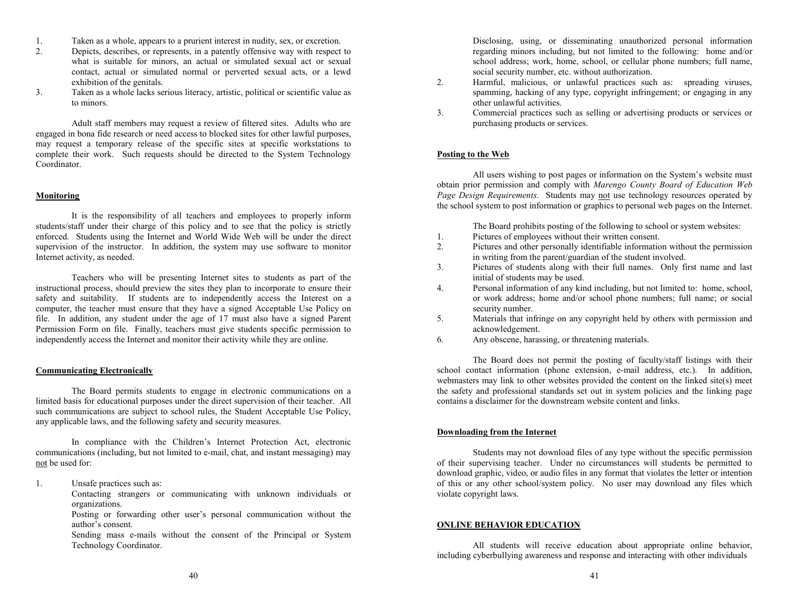- 1. Taken as a whole, appears to a prurient interest in nudity, sex, or excretion.
- 2. Depicts, describes, or represents, in a patently offensive way with respect to what is suitable for minors, an actual or simulated sexual act or sexual contact, actual or simulated normal or perverted sexual acts, or a lewd exhibition of the genitals.
- 3. Taken as a whole lacks serious literacy, artistic, political or scientific value as to minors.

Adult staff members may request a review of filtered sites. Adults who are engaged in bona fide research or need access to blocked sites for other lawful purposes, may request a temporary release of the specific sites at specific workstations to complete their work. Such requests should be directed to the System Technology Coordinator.

# **Monitoring**

It is the responsibility of all teachers and employees to properly inform students/staff under their charge of this policy and to see that the policy is strictly enforced. Students using the Internet and World Wide Web will be under the direct supervision of the instructor. In addition, the system may use software to monitor Internet activity, as needed.

Teachers who will be presenting Internet sites to students as part of the instructional process, should preview the sites they plan to incorporate to ensure their safety and suitability. If students are to independently access the Interest on a computer, the teacher must ensure that they have a signed Acceptable Use Policy on file. In addition, any student under the age of 17 must also have a signed Parent Permission Form on file. Finally, teachers must give students specific permission to independently access the Internet and monitor their activity while they are online.

# **Communicating Electronically**

The Board permits students to engage in electronic communications on a limited basis for educational purposes under the direct supervision of their teacher. All such communications are subject to school rules, the Student Acceptable Use Policy, any applicable laws, and the following safety and security measures.

In compliance with the Children's Internet Protection Act, electronic communications (including, but not limited to e-mail, chat, and instant messaging) may not be used for:

1. Unsafe practices such as:

Contacting strangers or communicating with unknown individuals or organizations.

Posting or forwarding other user's personal communication without the author's consent.

Sending mass e-mails without the consent of the Principal or System Technology Coordinator.

Disclosing, using, or disseminating unauthorized personal information regarding minors including, but not limited to the following: home and/or school address; work, home, school, or cellular phone numbers; full name, social security number, etc. without authorization.

- 2. Harmful, malicious, or unlawful practices such as: spreading viruses, spamming, hacking of any type, copyright infringement; or engaging in any other unlawful activities.
- 3. Commercial practices such as selling or advertising products or services or purchasing products or services.

# **Posting to the Web**

All users wishing to post pages or information on the System's website must obtain prior permission and comply with *Marengo County Board of Education Web Page Design Requirements.* Students may not use technology resources operated by the school system to post information or graphics to personal web pages on the Internet.

The Board prohibits posting of the following to school or system websites:

- 1. Pictures of employees without their written consent.
- 2. Pictures and other personally identifiable information without the permission in writing from the parent/guardian of the student involved.
- 3. Pictures of students along with their full names. Only first name and last initial of students may be used.
- 4. Personal information of any kind including, but not limited to: home, school, or work address; home and/or school phone numbers; full name; or social security number.
- 5. Materials that infringe on any copyright held by others with permission and acknowledgement.
- 6. Any obscene, harassing, or threatening materials.

The Board does not permit the posting of faculty/staff listings with their school contact information (phone extension, e-mail address, etc.). In addition, webmasters may link to other websites provided the content on the linked site(s) meet the safety and professional standards set out in system policies and the linking page contains a disclaimer for the downstream website content and links.

# **Downloading from the Internet**

Students may not download files of any type without the specific permission of their supervising teacher. Under no circumstances will students be permitted to download graphic, video, or audio files in any format that violates the letter or intention of this or any other school/system policy. No user may download any files which violate copyright laws.

# **ONLINE BEHAVIOR EDUCATION**

All students will receive education about appropriate online behavior, including cyberbullying awareness and response and interacting with other individuals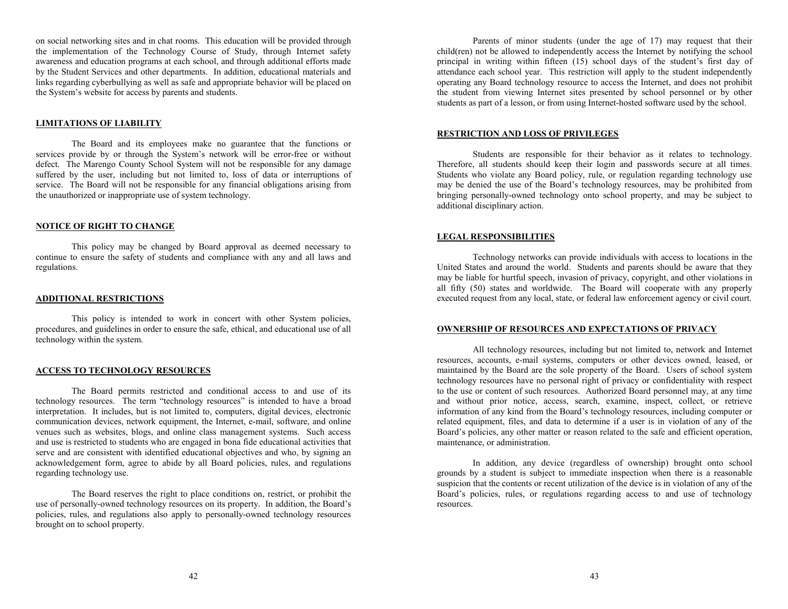on social networking sites and in chat rooms. This education will be provided through the implementation of the Technology Course of Study, through Internet safety awareness and education programs at each school, and through additional efforts made by the Student Services and other departments. In addition, educational materials and links regarding cyberbullying as well as safe and appropriate behavior will be placed on the System's website for access by parents and students.

#### **LIMITATIONS OF LIABILITY**

The Board and its employees make no guarantee that the functions or services provide by or through the System's network will be error-free or without defect. The Marengo County School System will not be responsible for any damage suffered by the user, including but not limited to, loss of data or interruptions of service. The Board will not be responsible for any financial obligations arising from the unauthorized or inappropriate use of system technology.

#### **NOTICE OF RIGHT TO CHANGE**

This policy may be changed by Board approval as deemed necessary to continue to ensure the safety of students and compliance with any and all laws and regulations.

#### **ADDITIONAL RESTRICTIONS**

This policy is intended to work in concert with other System policies, procedures, and guidelines in order to ensure the safe, ethical, and educational use of all technology within the system.

# **ACCESS TO TECHNOLOGY RESOURCES**

The Board permits restricted and conditional access to and use of its technology resources. The term "technology resources" is intended to have a broad interpretation. It includes, but is not limited to, computers, digital devices, electronic communication devices, network equipment, the Internet, e-mail, software, and online venues such as websites, blogs, and online class management systems. Such access and use is restricted to students who are engaged in bona fide educational activities that serve and are consistent with identified educational objectives and who, by signing an acknowledgement form, agree to abide by all Board policies, rules, and regulations regarding technology use.

The Board reserves the right to place conditions on, restrict, or prohibit the use of personally-owned technology resources on its property. In addition, the Board's policies, rules, and regulations also apply to personally-owned technology resources brought on to school property.

Parents of minor students (under the age of 17) may request that their child(ren) not be allowed to independently access the Internet by notifying the school principal in writing within fifteen (15) school days of the student's first day of attendance each school year. This restriction will apply to the student independently operating any Board technology resource to access the Internet, and does not prohibit the student from viewing Internet sites presented by school personnel or by other students as part of a lesson, or from using Internet-hosted software used by the school.

# **RESTRICTION AND LOSS OF PRIVILEGES**

Students are responsible for their behavior as it relates to technology. Therefore, all students should keep their login and passwords secure at all times. Students who violate any Board policy, rule, or regulation regarding technology use may be denied the use of the Board's technology resources, may be prohibited from bringing personally-owned technology onto school property, and may be subject to additional disciplinary action.

#### **LEGAL RESPONSIBILITIES**

Technology networks can provide individuals with access to locations in the United States and around the world. Students and parents should be aware that they may be liable for hurtful speech, invasion of privacy, copyright, and other violations in all fifty (50) states and worldwide. The Board will cooperate with any properly executed request from any local, state, or federal law enforcement agency or civil court.

#### **OWNERSHIP OF RESOURCES AND EXPECTATIONS OF PRIVACY**

All technology resources, including but not limited to, network and Internet resources, accounts, e-mail systems, computers or other devices owned, leased, or maintained by the Board are the sole property of the Board. Users of school system technology resources have no personal right of privacy or confidentiality with respect to the use or content of such resources. Authorized Board personnel may, at any time and without prior notice, access, search, examine, inspect, collect, or retrieve information of any kind from the Board's technology resources, including computer or related equipment, files, and data to determine if a user is in violation of any of the Board's policies, any other matter or reason related to the safe and efficient operation, maintenance, or administration.

In addition, any device (regardless of ownership) brought onto school grounds by a student is subject to immediate inspection when there is a reasonable suspicion that the contents or recent utilization of the device is in violation of any of the Board's policies, rules, or regulations regarding access to and use of technology resources.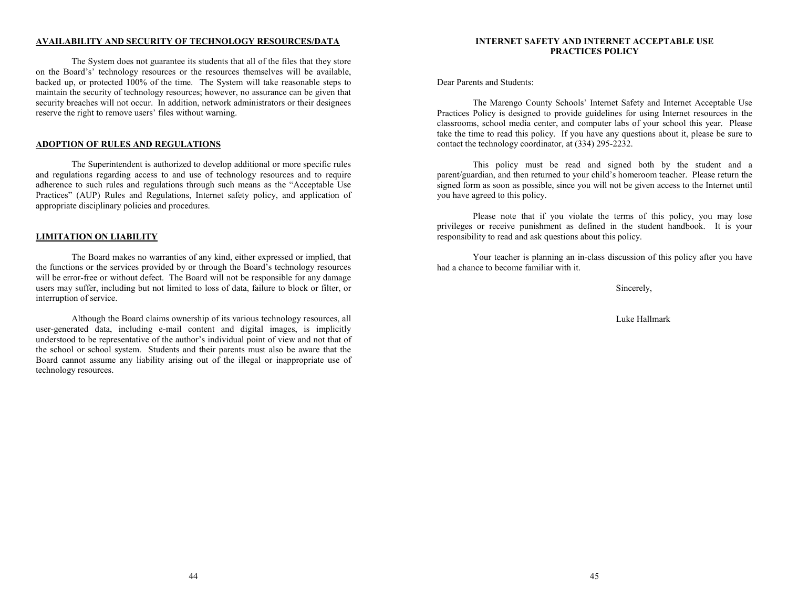# **AVAILABILITY AND SECURITY OF TECHNOLOGY RESOURCES/DATA**

The System does not guarantee its students that all of the files that they store on the Board's' technology resources or the resources themselves will be available, backed up, or protected 100% of the time. The System will take reasonable steps to maintain the security of technology resources; however, no assurance can be given that security breaches will not occur. In addition, network administrators or their designees reserve the right to remove users' files without warning.

# **ADOPTION OF RULES AND REGULATIONS**

The Superintendent is authorized to develop additional or more specific rules and regulations regarding access to and use of technology resources and to require adherence to such rules and regulations through such means as the "Acceptable Use Practices" (AUP) Rules and Regulations, Internet safety policy, and application of appropriate disciplinary policies and procedures.

#### **LIMITATION ON LIABILITY**

The Board makes no warranties of any kind, either expressed or implied, that the functions or the services provided by or through the Board's technology resources will be error-free or without defect. The Board will not be responsible for any damage users may suffer, including but not limited to loss of data, failure to block or filter, or interruption of service.

Although the Board claims ownership of its various technology resources, all user-generated data, including e-mail content and digital images, is implicitly understood to be representative of the author's individual point of view and not that of the school or school system. Students and their parents must also be aware that the Board cannot assume any liability arising out of the illegal or inappropriate use of technology resources.

# **INTERNET SAFETY AND INTERNET ACCEPTABLE USE PRACTICES POLICY**

Dear Parents and Students:

The Marengo County Schools' Internet Safety and Internet Acceptable Use Practices Policy is designed to provide guidelines for using Internet resources in the classrooms, school media center, and computer labs of your school this year. Please take the time to read this policy. If you have any questions about it, please be sure to contact the technology coordinator, at (334) 295-2232.

This policy must be read and signed both by the student and a parent/guardian, and then returned to your child's homeroom teacher. Please return the signed form as soon as possible, since you will not be given access to the Internet until you have agreed to this policy.

Please note that if you violate the terms of this policy, you may lose privileges or receive punishment as defined in the student handbook. It is your responsibility to read and ask questions about this policy.

Your teacher is planning an in-class discussion of this policy after you have had a chance to become familiar with it.

Sincerely,

Luke Hallmark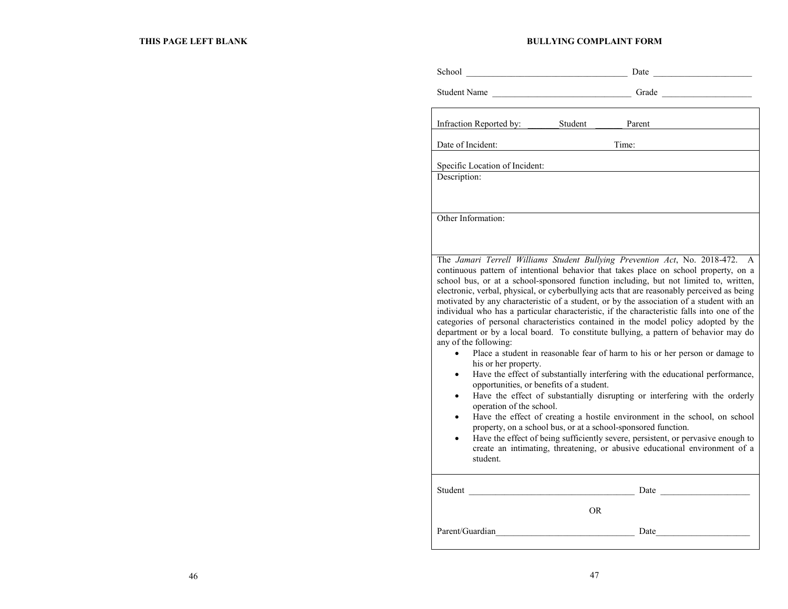# **BULLYING COMPLAINT FORM**

School \_\_\_\_\_\_\_\_\_\_\_\_\_\_\_\_\_\_\_\_\_\_\_\_\_\_\_\_\_\_\_\_\_\_\_\_ Date \_\_\_\_\_\_\_\_\_\_\_\_\_\_\_\_\_\_\_\_\_\_

|                                                                                                                                                                                                                                                                                                                                                                                                                                                                                                                                                                                                                                                                                                                                                                                                                                                                                                                                                                                                                                                                                                                                                                                                                                                                                                                                                                                                                                              | Student Name                                                                                                                                                                                                                                     |
|----------------------------------------------------------------------------------------------------------------------------------------------------------------------------------------------------------------------------------------------------------------------------------------------------------------------------------------------------------------------------------------------------------------------------------------------------------------------------------------------------------------------------------------------------------------------------------------------------------------------------------------------------------------------------------------------------------------------------------------------------------------------------------------------------------------------------------------------------------------------------------------------------------------------------------------------------------------------------------------------------------------------------------------------------------------------------------------------------------------------------------------------------------------------------------------------------------------------------------------------------------------------------------------------------------------------------------------------------------------------------------------------------------------------------------------------|--------------------------------------------------------------------------------------------------------------------------------------------------------------------------------------------------------------------------------------------------|
|                                                                                                                                                                                                                                                                                                                                                                                                                                                                                                                                                                                                                                                                                                                                                                                                                                                                                                                                                                                                                                                                                                                                                                                                                                                                                                                                                                                                                                              | Infraction Reported by: Student<br>Parent                                                                                                                                                                                                        |
| Date of Incident:                                                                                                                                                                                                                                                                                                                                                                                                                                                                                                                                                                                                                                                                                                                                                                                                                                                                                                                                                                                                                                                                                                                                                                                                                                                                                                                                                                                                                            | Time:                                                                                                                                                                                                                                            |
| Specific Location of Incident:<br>Description:                                                                                                                                                                                                                                                                                                                                                                                                                                                                                                                                                                                                                                                                                                                                                                                                                                                                                                                                                                                                                                                                                                                                                                                                                                                                                                                                                                                               |                                                                                                                                                                                                                                                  |
| Other Information:                                                                                                                                                                                                                                                                                                                                                                                                                                                                                                                                                                                                                                                                                                                                                                                                                                                                                                                                                                                                                                                                                                                                                                                                                                                                                                                                                                                                                           |                                                                                                                                                                                                                                                  |
| The Jamari Terrell Williams Student Bullying Prevention Act, No. 2018-472. A<br>continuous pattern of intentional behavior that takes place on school property, on a<br>school bus, or at a school-sponsored function including, but not limited to, written,<br>electronic, verbal, physical, or cyberbullying acts that are reasonably perceived as being<br>motivated by any characteristic of a student, or by the association of a student with an<br>individual who has a particular characteristic, if the characteristic falls into one of the<br>categories of personal characteristics contained in the model policy adopted by the<br>department or by a local board. To constitute bullying, a pattern of behavior may do<br>any of the following:<br>Place a student in reasonable fear of harm to his or her person or damage to<br>his or her property.<br>Have the effect of substantially interfering with the educational performance,<br>opportunities, or benefits of a student.<br>Have the effect of substantially disrupting or interfering with the orderly<br>operation of the school.<br>Have the effect of creating a hostile environment in the school, on school<br>property, on a school bus, or at a school-sponsored function.<br>Have the effect of being sufficiently severe, persistent, or pervasive enough to<br>create an intimating, threatening, or abusive educational environment of a<br>student. |                                                                                                                                                                                                                                                  |
|                                                                                                                                                                                                                                                                                                                                                                                                                                                                                                                                                                                                                                                                                                                                                                                                                                                                                                                                                                                                                                                                                                                                                                                                                                                                                                                                                                                                                                              | Student                                                                                                                                                                                                                                          |
|                                                                                                                                                                                                                                                                                                                                                                                                                                                                                                                                                                                                                                                                                                                                                                                                                                                                                                                                                                                                                                                                                                                                                                                                                                                                                                                                                                                                                                              | OR.                                                                                                                                                                                                                                              |
|                                                                                                                                                                                                                                                                                                                                                                                                                                                                                                                                                                                                                                                                                                                                                                                                                                                                                                                                                                                                                                                                                                                                                                                                                                                                                                                                                                                                                                              | Parent/Guardian<br>Date and the same state of the state of the state of the state of the state of the state of the state of the state of the state of the state of the state of the state of the state of the state of the state of the state of |
|                                                                                                                                                                                                                                                                                                                                                                                                                                                                                                                                                                                                                                                                                                                                                                                                                                                                                                                                                                                                                                                                                                                                                                                                                                                                                                                                                                                                                                              |                                                                                                                                                                                                                                                  |